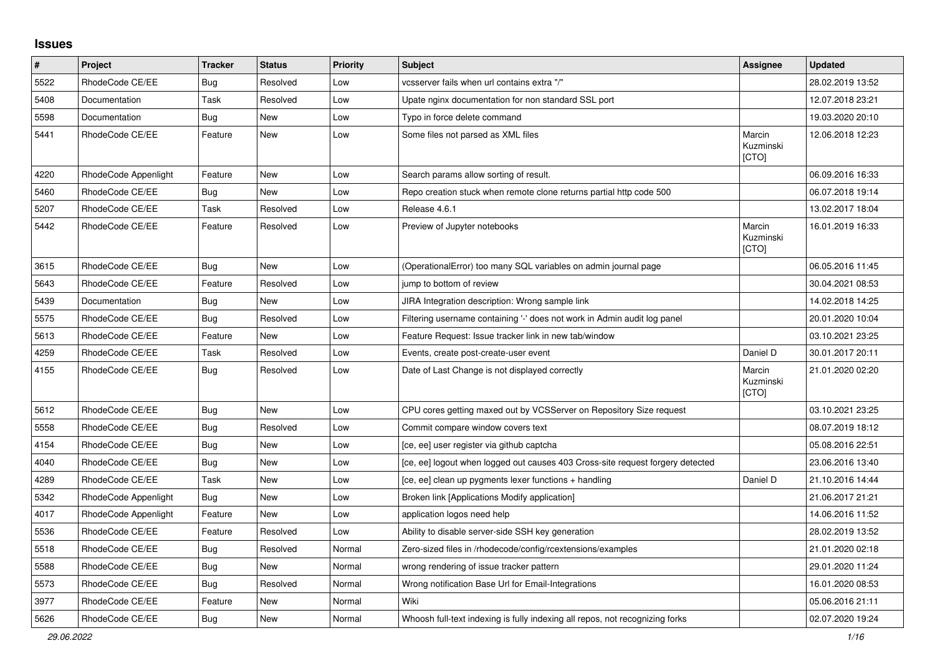## **Issues**

| $\pmb{\#}$ | Project              | <b>Tracker</b> | <b>Status</b> | <b>Priority</b> | <b>Subject</b>                                                                 | Assignee                            | <b>Updated</b>   |
|------------|----------------------|----------------|---------------|-----------------|--------------------------------------------------------------------------------|-------------------------------------|------------------|
| 5522       | RhodeCode CE/EE      | Bug            | Resolved      | Low             | vcsserver fails when url contains extra "/"                                    |                                     | 28.02.2019 13:52 |
| 5408       | Documentation        | Task           | Resolved      | Low             | Upate nginx documentation for non standard SSL port                            |                                     | 12.07.2018 23:21 |
| 5598       | Documentation        | <b>Bug</b>     | New           | Low             | Typo in force delete command                                                   |                                     | 19.03.2020 20:10 |
| 5441       | RhodeCode CE/EE      | Feature        | New           | Low             | Some files not parsed as XML files                                             | Marcin<br>Kuzminski<br>[CTO]        | 12.06.2018 12:23 |
| 4220       | RhodeCode Appenlight | Feature        | New           | Low             | Search params allow sorting of result.                                         |                                     | 06.09.2016 16:33 |
| 5460       | RhodeCode CE/EE      | <b>Bug</b>     | New           | Low             | Repo creation stuck when remote clone returns partial http code 500            |                                     | 06.07.2018 19:14 |
| 5207       | RhodeCode CE/EE      | Task           | Resolved      | Low             | Release 4.6.1                                                                  |                                     | 13.02.2017 18:04 |
| 5442       | RhodeCode CE/EE      | Feature        | Resolved      | Low             | Preview of Jupyter notebooks                                                   | Marcin<br>Kuzminski<br><b>[CTO]</b> | 16.01.2019 16:33 |
| 3615       | RhodeCode CE/EE      | Bug            | New           | Low             | (OperationalError) too many SQL variables on admin journal page                |                                     | 06.05.2016 11:45 |
| 5643       | RhodeCode CE/EE      | Feature        | Resolved      | Low             | jump to bottom of review                                                       |                                     | 30.04.2021 08:53 |
| 5439       | Documentation        | <b>Bug</b>     | <b>New</b>    | Low             | JIRA Integration description: Wrong sample link                                |                                     | 14.02.2018 14:25 |
| 5575       | RhodeCode CE/EE      | Bug            | Resolved      | Low             | Filtering username containing '-' does not work in Admin audit log panel       |                                     | 20.01.2020 10:04 |
| 5613       | RhodeCode CE/EE      | Feature        | New           | Low             | Feature Request: Issue tracker link in new tab/window                          |                                     | 03.10.2021 23:25 |
| 4259       | RhodeCode CE/EE      | Task           | Resolved      | Low             | Events, create post-create-user event                                          | Daniel D                            | 30.01.2017 20:11 |
| 4155       | RhodeCode CE/EE      | Bug            | Resolved      | Low             | Date of Last Change is not displayed correctly                                 | Marcin<br>Kuzminski<br>[CTO]        | 21.01.2020 02:20 |
| 5612       | RhodeCode CE/EE      | <b>Bug</b>     | <b>New</b>    | Low             | CPU cores getting maxed out by VCSServer on Repository Size request            |                                     | 03.10.2021 23:25 |
| 5558       | RhodeCode CE/EE      | Bug            | Resolved      | Low             | Commit compare window covers text                                              |                                     | 08.07.2019 18:12 |
| 4154       | RhodeCode CE/EE      | <b>Bug</b>     | New           | Low             | [ce, ee] user register via github captcha                                      |                                     | 05.08.2016 22:51 |
| 4040       | RhodeCode CE/EE      | <b>Bug</b>     | New           | Low             | [ce, ee] logout when logged out causes 403 Cross-site request forgery detected |                                     | 23.06.2016 13:40 |
| 4289       | RhodeCode CE/EE      | Task           | New           | Low             | [ce, ee] clean up pygments lexer functions + handling                          | Daniel D                            | 21.10.2016 14:44 |
| 5342       | RhodeCode Appenlight | <b>Bug</b>     | <b>New</b>    | Low             | Broken link [Applications Modify application]                                  |                                     | 21.06.2017 21:21 |
| 4017       | RhodeCode Appenlight | Feature        | New           | Low             | application logos need help                                                    |                                     | 14.06.2016 11:52 |
| 5536       | RhodeCode CE/EE      | Feature        | Resolved      | Low             | Ability to disable server-side SSH key generation                              |                                     | 28.02.2019 13:52 |
| 5518       | RhodeCode CE/EE      | <b>Bug</b>     | Resolved      | Normal          | Zero-sized files in /rhodecode/config/rcextensions/examples                    |                                     | 21.01.2020 02:18 |
| 5588       | RhodeCode CE/EE      | Bug            | New           | Normal          | wrong rendering of issue tracker pattern                                       |                                     | 29.01.2020 11:24 |
| 5573       | RhodeCode CE/EE      | Bug            | Resolved      | Normal          | Wrong notification Base Url for Email-Integrations                             |                                     | 16.01.2020 08:53 |
| 3977       | RhodeCode CE/EE      | Feature        | New           | Normal          | Wiki                                                                           |                                     | 05.06.2016 21:11 |
| 5626       | RhodeCode CE/EE      | <b>Bug</b>     | <b>New</b>    | Normal          | Whoosh full-text indexing is fully indexing all repos, not recognizing forks   |                                     | 02.07.2020 19:24 |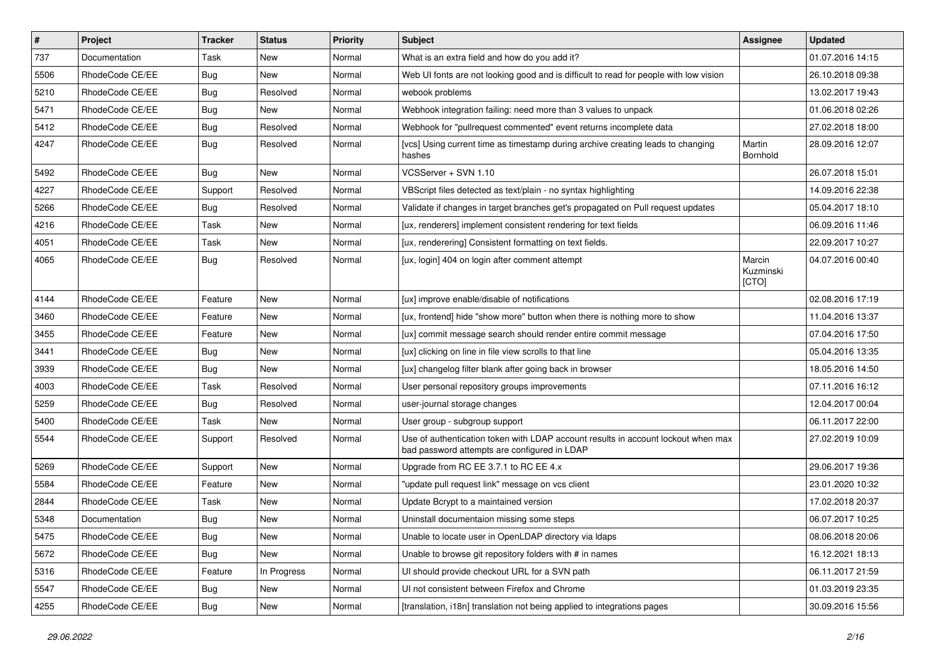| $\vert$ # | Project         | <b>Tracker</b> | <b>Status</b> | Priority | Subject                                                                                                                           | <b>Assignee</b>              | <b>Updated</b>   |
|-----------|-----------------|----------------|---------------|----------|-----------------------------------------------------------------------------------------------------------------------------------|------------------------------|------------------|
| 737       | Documentation   | Task           | New           | Normal   | What is an extra field and how do you add it?                                                                                     |                              | 01.07.2016 14:15 |
| 5506      | RhodeCode CE/EE | Bug            | <b>New</b>    | Normal   | Web UI fonts are not looking good and is difficult to read for people with low vision                                             |                              | 26.10.2018 09:38 |
| 5210      | RhodeCode CE/EE | Bug            | Resolved      | Normal   | webook problems                                                                                                                   |                              | 13.02.2017 19:43 |
| 5471      | RhodeCode CE/EE | Bug            | New           | Normal   | Webhook integration failing: need more than 3 values to unpack                                                                    |                              | 01.06.2018 02:26 |
| 5412      | RhodeCode CE/EE | <b>Bug</b>     | Resolved      | Normal   | Webhook for "pullrequest commented" event returns incomplete data                                                                 |                              | 27.02.2018 18:00 |
| 4247      | RhodeCode CE/EE | Bug            | Resolved      | Normal   | [vcs] Using current time as timestamp during archive creating leads to changing<br>hashes                                         | Martin<br>Bornhold           | 28.09.2016 12:07 |
| 5492      | RhodeCode CE/EE | Bug            | <b>New</b>    | Normal   | VCSServer + SVN 1.10                                                                                                              |                              | 26.07.2018 15:01 |
| 4227      | RhodeCode CE/EE | Support        | Resolved      | Normal   | VBScript files detected as text/plain - no syntax highlighting                                                                    |                              | 14.09.2016 22:38 |
| 5266      | RhodeCode CE/EE | Bug            | Resolved      | Normal   | Validate if changes in target branches get's propagated on Pull request updates                                                   |                              | 05.04.2017 18:10 |
| 4216      | RhodeCode CE/EE | Task           | New           | Normal   | [ux, renderers] implement consistent rendering for text fields                                                                    |                              | 06.09.2016 11:46 |
| 4051      | RhodeCode CE/EE | Task           | New           | Normal   | [ux, renderering] Consistent formatting on text fields.                                                                           |                              | 22.09.2017 10:27 |
| 4065      | RhodeCode CE/EE | Bug            | Resolved      | Normal   | [ux, login] 404 on login after comment attempt                                                                                    | Marcin<br>Kuzminski<br>[CTO] | 04.07.2016 00:40 |
| 4144      | RhodeCode CE/EE | Feature        | <b>New</b>    | Normal   | [ux] improve enable/disable of notifications                                                                                      |                              | 02.08.2016 17:19 |
| 3460      | RhodeCode CE/EE | Feature        | New           | Normal   | [ux, frontend] hide "show more" button when there is nothing more to show                                                         |                              | 11.04.2016 13:37 |
| 3455      | RhodeCode CE/EE | Feature        | <b>New</b>    | Normal   | [ux] commit message search should render entire commit message                                                                    |                              | 07.04.2016 17:50 |
| 3441      | RhodeCode CE/EE | Bug            | New           | Normal   | [ux] clicking on line in file view scrolls to that line                                                                           |                              | 05.04.2016 13:35 |
| 3939      | RhodeCode CE/EE | Bug            | New           | Normal   | [ux] changelog filter blank after going back in browser                                                                           |                              | 18.05.2016 14:50 |
| 4003      | RhodeCode CE/EE | Task           | Resolved      | Normal   | User personal repository groups improvements                                                                                      |                              | 07.11.2016 16:12 |
| 5259      | RhodeCode CE/EE | <b>Bug</b>     | Resolved      | Normal   | user-journal storage changes                                                                                                      |                              | 12.04.2017 00:04 |
| 5400      | RhodeCode CE/EE | Task           | <b>New</b>    | Normal   | User group - subgroup support                                                                                                     |                              | 06.11.2017 22:00 |
| 5544      | RhodeCode CE/EE | Support        | Resolved      | Normal   | Use of authentication token with LDAP account results in account lockout when max<br>bad password attempts are configured in LDAP |                              | 27.02.2019 10:09 |
| 5269      | RhodeCode CE/EE | Support        | <b>New</b>    | Normal   | Upgrade from RC EE 3.7.1 to RC EE 4.x                                                                                             |                              | 29.06.2017 19:36 |
| 5584      | RhodeCode CE/EE | Feature        | New           | Normal   | "update pull request link" message on vcs client                                                                                  |                              | 23.01.2020 10:32 |
| 2844      | RhodeCode CE/EE | Task           | New           | Normal   | Update Bcrypt to a maintained version                                                                                             |                              | 17.02.2018 20:37 |
| 5348      | Documentation   | <b>Bug</b>     | <b>New</b>    | Normal   | Uninstall documentaion missing some steps                                                                                         |                              | 06.07.2017 10:25 |
| 5475      | RhodeCode CE/EE | <b>Bug</b>     | New           | Normal   | Unable to locate user in OpenLDAP directory via Idaps                                                                             |                              | 08.06.2018 20:06 |
| 5672      | RhodeCode CE/EE | <b>Bug</b>     | New           | Normal   | Unable to browse git repository folders with # in names                                                                           |                              | 16.12.2021 18:13 |
| 5316      | RhodeCode CE/EE | Feature        | In Progress   | Normal   | UI should provide checkout URL for a SVN path                                                                                     |                              | 06.11.2017 21:59 |
| 5547      | RhodeCode CE/EE | <b>Bug</b>     | New           | Normal   | UI not consistent between Firefox and Chrome                                                                                      |                              | 01.03.2019 23:35 |
| 4255      | RhodeCode CE/EE | Bug            | New           | Normal   | [translation, i18n] translation not being applied to integrations pages                                                           |                              | 30.09.2016 15:56 |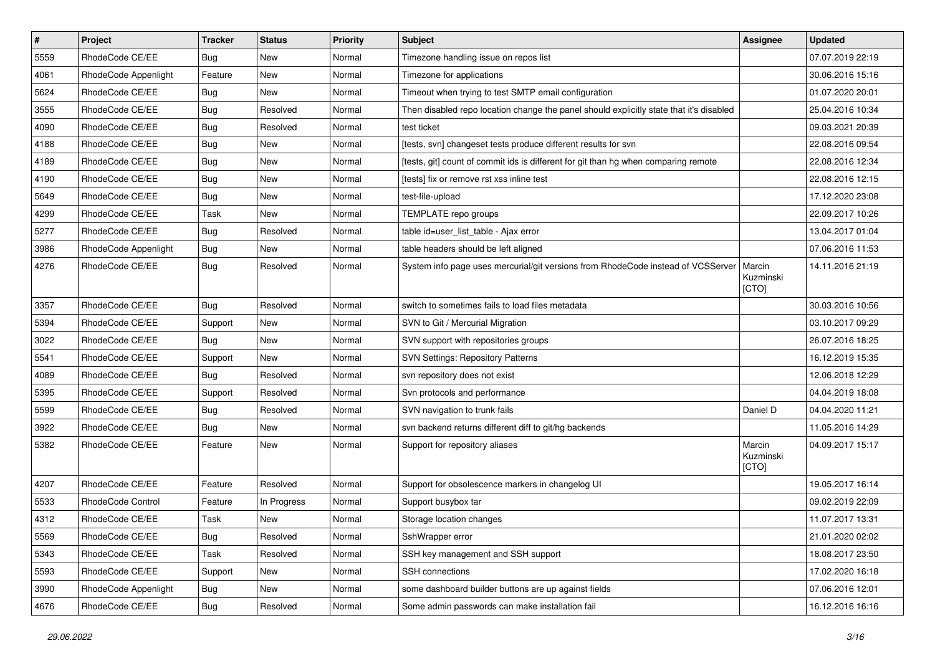| $\vert$ # | Project                  | <b>Tracker</b> | <b>Status</b> | Priority | Subject                                                                                 | <b>Assignee</b>              | <b>Updated</b>   |
|-----------|--------------------------|----------------|---------------|----------|-----------------------------------------------------------------------------------------|------------------------------|------------------|
| 5559      | RhodeCode CE/EE          | Bug            | New           | Normal   | Timezone handling issue on repos list                                                   |                              | 07.07.2019 22:19 |
| 4061      | RhodeCode Appenlight     | Feature        | <b>New</b>    | Normal   | Timezone for applications                                                               |                              | 30.06.2016 15:16 |
| 5624      | RhodeCode CE/EE          | Bug            | New           | Normal   | Timeout when trying to test SMTP email configuration                                    |                              | 01.07.2020 20:01 |
| 3555      | RhodeCode CE/EE          | Bug            | Resolved      | Normal   | Then disabled repo location change the panel should explicitly state that it's disabled |                              | 25.04.2016 10:34 |
| 4090      | RhodeCode CE/EE          | <b>Bug</b>     | Resolved      | Normal   | test ticket                                                                             |                              | 09.03.2021 20:39 |
| 4188      | RhodeCode CE/EE          | Bug            | New           | Normal   | [tests, svn] changeset tests produce different results for svn                          |                              | 22.08.2016 09:54 |
| 4189      | RhodeCode CE/EE          | Bug            | <b>New</b>    | Normal   | [tests, git] count of commit ids is different for git than hg when comparing remote     |                              | 22.08.2016 12:34 |
| 4190      | RhodeCode CE/EE          | Bug            | New           | Normal   | [tests] fix or remove rst xss inline test                                               |                              | 22.08.2016 12:15 |
| 5649      | RhodeCode CE/EE          | Bug            | <b>New</b>    | Normal   | test-file-upload                                                                        |                              | 17.12.2020 23:08 |
| 4299      | RhodeCode CE/EE          | Task           | <b>New</b>    | Normal   | TEMPLATE repo groups                                                                    |                              | 22.09.2017 10:26 |
| 5277      | RhodeCode CE/EE          | Bug            | Resolved      | Normal   | table id=user_list_table - Ajax error                                                   |                              | 13.04.2017 01:04 |
| 3986      | RhodeCode Appenlight     | Bug            | <b>New</b>    | Normal   | table headers should be left aligned                                                    |                              | 07.06.2016 11:53 |
| 4276      | RhodeCode CE/EE          | Bug            | Resolved      | Normal   | System info page uses mercurial/git versions from RhodeCode instead of VCSServer        | Marcin<br>Kuzminski<br>[CTO] | 14.11.2016 21:19 |
| 3357      | RhodeCode CE/EE          | Bug            | Resolved      | Normal   | switch to sometimes fails to load files metadata                                        |                              | 30.03.2016 10:56 |
| 5394      | RhodeCode CE/EE          | Support        | <b>New</b>    | Normal   | SVN to Git / Mercurial Migration                                                        |                              | 03.10.2017 09:29 |
| 3022      | RhodeCode CE/EE          | Bug            | <b>New</b>    | Normal   | SVN support with repositories groups                                                    |                              | 26.07.2016 18:25 |
| 5541      | RhodeCode CE/EE          | Support        | New           | Normal   | <b>SVN Settings: Repository Patterns</b>                                                |                              | 16.12.2019 15:35 |
| 4089      | RhodeCode CE/EE          | Bug            | Resolved      | Normal   | svn repository does not exist                                                           |                              | 12.06.2018 12:29 |
| 5395      | RhodeCode CE/EE          | Support        | Resolved      | Normal   | Svn protocols and performance                                                           |                              | 04.04.2019 18:08 |
| 5599      | RhodeCode CE/EE          | Bug            | Resolved      | Normal   | SVN navigation to trunk fails                                                           | Daniel D                     | 04.04.2020 11:21 |
| 3922      | RhodeCode CE/EE          | Bug            | <b>New</b>    | Normal   | svn backend returns different diff to git/hg backends                                   |                              | 11.05.2016 14:29 |
| 5382      | RhodeCode CE/EE          | Feature        | New           | Normal   | Support for repository aliases                                                          | Marcin<br>Kuzminski<br>[CTO] | 04.09.2017 15:17 |
| 4207      | RhodeCode CE/EE          | Feature        | Resolved      | Normal   | Support for obsolescence markers in changelog UI                                        |                              | 19.05.2017 16:14 |
| 5533      | <b>RhodeCode Control</b> | Feature        | In Progress   | Normal   | Support busybox tar                                                                     |                              | 09.02.2019 22:09 |
| 4312      | RhodeCode CE/EE          | Task           | <b>New</b>    | Normal   | Storage location changes                                                                |                              | 11.07.2017 13:31 |
| 5569      | RhodeCode CE/EE          | <b>Bug</b>     | Resolved      | Normal   | SshWrapper error                                                                        |                              | 21.01.2020 02:02 |
| 5343      | RhodeCode CE/EE          | Task           | Resolved      | Normal   | SSH key management and SSH support                                                      |                              | 18.08.2017 23:50 |
| 5593      | RhodeCode CE/EE          | Support        | New           | Normal   | SSH connections                                                                         |                              | 17.02.2020 16:18 |
| 3990      | RhodeCode Appenlight     | Bug            | New           | Normal   | some dashboard builder buttons are up against fields                                    |                              | 07.06.2016 12:01 |
| 4676      | RhodeCode CE/EE          | <b>Bug</b>     | Resolved      | Normal   | Some admin passwords can make installation fail                                         |                              | 16.12.2016 16:16 |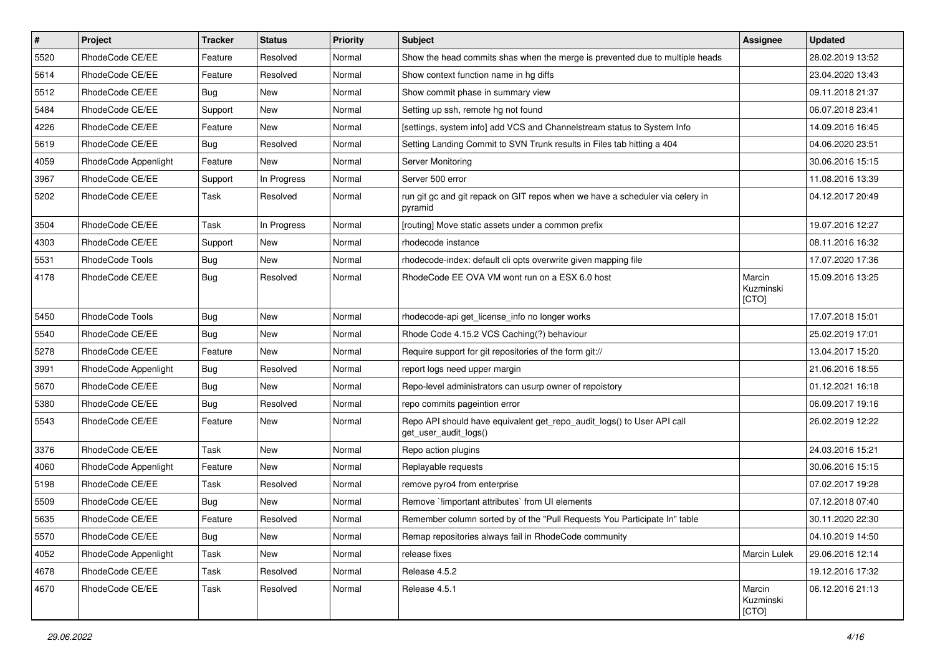| $\vert$ # | Project              | <b>Tracker</b> | <b>Status</b> | <b>Priority</b> | <b>Subject</b>                                                                                  | <b>Assignee</b>              | <b>Updated</b>   |
|-----------|----------------------|----------------|---------------|-----------------|-------------------------------------------------------------------------------------------------|------------------------------|------------------|
| 5520      | RhodeCode CE/EE      | Feature        | Resolved      | Normal          | Show the head commits shas when the merge is prevented due to multiple heads                    |                              | 28.02.2019 13:52 |
| 5614      | RhodeCode CE/EE      | Feature        | Resolved      | Normal          | Show context function name in hg diffs                                                          |                              | 23.04.2020 13:43 |
| 5512      | RhodeCode CE/EE      | Bug            | New           | Normal          | Show commit phase in summary view                                                               |                              | 09.11.2018 21:37 |
| 5484      | RhodeCode CE/EE      | Support        | New           | Normal          | Setting up ssh, remote hg not found                                                             |                              | 06.07.2018 23:41 |
| 4226      | RhodeCode CE/EE      | Feature        | New           | Normal          | [settings, system info] add VCS and Channelstream status to System Info                         |                              | 14.09.2016 16:45 |
| 5619      | RhodeCode CE/EE      | Bug            | Resolved      | Normal          | Setting Landing Commit to SVN Trunk results in Files tab hitting a 404                          |                              | 04.06.2020 23:51 |
| 4059      | RhodeCode Appenlight | Feature        | New           | Normal          | Server Monitoring                                                                               |                              | 30.06.2016 15:15 |
| 3967      | RhodeCode CE/EE      | Support        | In Progress   | Normal          | Server 500 error                                                                                |                              | 11.08.2016 13:39 |
| 5202      | RhodeCode CE/EE      | Task           | Resolved      | Normal          | run git gc and git repack on GIT repos when we have a scheduler via celery in<br>pyramid        |                              | 04.12.2017 20:49 |
| 3504      | RhodeCode CE/EE      | Task           | In Progress   | Normal          | [routing] Move static assets under a common prefix                                              |                              | 19.07.2016 12:27 |
| 4303      | RhodeCode CE/EE      | Support        | New           | Normal          | rhodecode instance                                                                              |                              | 08.11.2016 16:32 |
| 5531      | RhodeCode Tools      | <b>Bug</b>     | <b>New</b>    | Normal          | rhodecode-index: default cli opts overwrite given mapping file                                  |                              | 17.07.2020 17:36 |
| 4178      | RhodeCode CE/EE      | <b>Bug</b>     | Resolved      | Normal          | RhodeCode EE OVA VM wont run on a ESX 6.0 host                                                  | Marcin<br>Kuzminski<br>[CTO] | 15.09.2016 13:25 |
| 5450      | RhodeCode Tools      | Bug            | New           | Normal          | rhodecode-api get license info no longer works                                                  |                              | 17.07.2018 15:01 |
| 5540      | RhodeCode CE/EE      | <b>Bug</b>     | <b>New</b>    | Normal          | Rhode Code 4.15.2 VCS Caching(?) behaviour                                                      |                              | 25.02.2019 17:01 |
| 5278      | RhodeCode CE/EE      | Feature        | New           | Normal          | Require support for git repositories of the form git://                                         |                              | 13.04.2017 15:20 |
| 3991      | RhodeCode Appenlight | <b>Bug</b>     | Resolved      | Normal          | report logs need upper margin                                                                   |                              | 21.06.2016 18:55 |
| 5670      | RhodeCode CE/EE      | Bug            | <b>New</b>    | Normal          | Repo-level administrators can usurp owner of repoistory                                         |                              | 01.12.2021 16:18 |
| 5380      | RhodeCode CE/EE      | <b>Bug</b>     | Resolved      | Normal          | repo commits pageintion error                                                                   |                              | 06.09.2017 19:16 |
| 5543      | RhodeCode CE/EE      | Feature        | New           | Normal          | Repo API should have equivalent get_repo_audit_logs() to User API call<br>get_user_audit_logs() |                              | 26.02.2019 12:22 |
| 3376      | RhodeCode CE/EE      | Task           | New           | Normal          | Repo action plugins                                                                             |                              | 24.03.2016 15:21 |
| 4060      | RhodeCode Appenlight | Feature        | New           | Normal          | Replayable requests                                                                             |                              | 30.06.2016 15:15 |
| 5198      | RhodeCode CE/EE      | Task           | Resolved      | Normal          | remove pyro4 from enterprise                                                                    |                              | 07.02.2017 19:28 |
| 5509      | RhodeCode CE/EE      | <b>Bug</b>     | New           | Normal          | Remove `limportant attributes` from UI elements                                                 |                              | 07.12.2018 07:40 |
| 5635      | RhodeCode CE/EE      | Feature        | Resolved      | Normal          | Remember column sorted by of the "Pull Requests You Participate In" table                       |                              | 30.11.2020 22:30 |
| 5570      | RhodeCode CE/EE      | Bug            | New           | Normal          | Remap repositories always fail in RhodeCode community                                           |                              | 04.10.2019 14:50 |
| 4052      | RhodeCode Appenlight | Task           | New           | Normal          | release fixes                                                                                   | Marcin Lulek                 | 29.06.2016 12:14 |
| 4678      | RhodeCode CE/EE      | Task           | Resolved      | Normal          | Release 4.5.2                                                                                   |                              | 19.12.2016 17:32 |
| 4670      | RhodeCode CE/EE      | Task           | Resolved      | Normal          | Release 4.5.1                                                                                   | Marcin<br>Kuzminski<br>[CTO] | 06.12.2016 21:13 |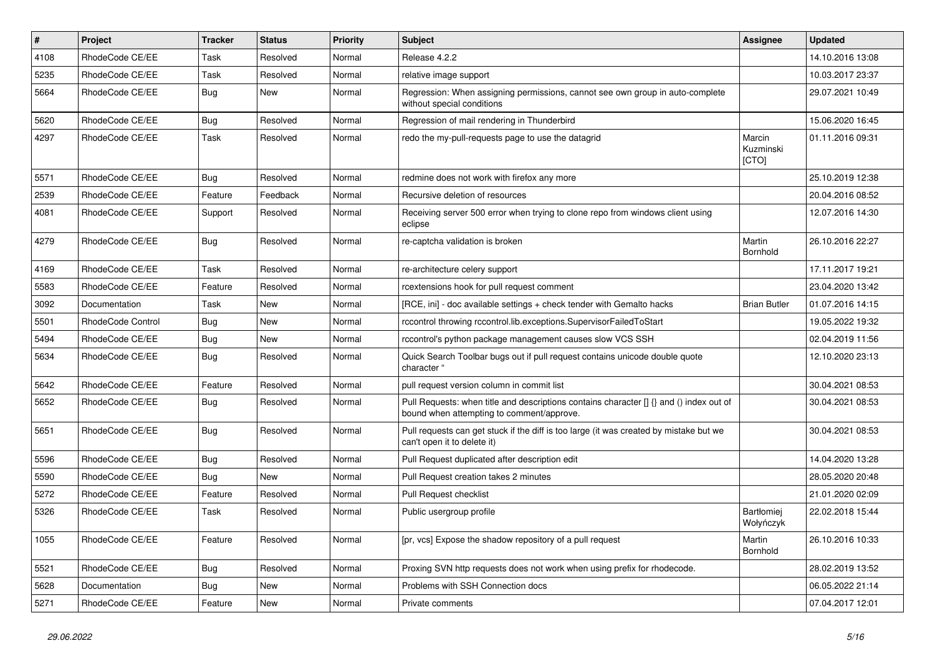| $\pmb{\#}$ | Project           | <b>Tracker</b> | <b>Status</b> | Priority | Subject                                                                                                                              | Assignee                       | <b>Updated</b>   |
|------------|-------------------|----------------|---------------|----------|--------------------------------------------------------------------------------------------------------------------------------------|--------------------------------|------------------|
| 4108       | RhodeCode CE/EE   | Task           | Resolved      | Normal   | Release 4.2.2                                                                                                                        |                                | 14.10.2016 13:08 |
| 5235       | RhodeCode CE/EE   | Task           | Resolved      | Normal   | relative image support                                                                                                               |                                | 10.03.2017 23:37 |
| 5664       | RhodeCode CE/EE   | <b>Bug</b>     | New           | Normal   | Regression: When assigning permissions, cannot see own group in auto-complete<br>without special conditions                          |                                | 29.07.2021 10:49 |
| 5620       | RhodeCode CE/EE   | <b>Bug</b>     | Resolved      | Normal   | Regression of mail rendering in Thunderbird                                                                                          |                                | 15.06.2020 16:45 |
| 4297       | RhodeCode CE/EE   | Task           | Resolved      | Normal   | redo the my-pull-requests page to use the datagrid                                                                                   | Marcin<br>Kuzminski<br>[CTO]   | 01.11.2016 09:31 |
| 5571       | RhodeCode CE/EE   | Bug            | Resolved      | Normal   | redmine does not work with firefox any more                                                                                          |                                | 25.10.2019 12:38 |
| 2539       | RhodeCode CE/EE   | Feature        | Feedback      | Normal   | Recursive deletion of resources                                                                                                      |                                | 20.04.2016 08:52 |
| 4081       | RhodeCode CE/EE   | Support        | Resolved      | Normal   | Receiving server 500 error when trying to clone repo from windows client using<br>eclipse                                            |                                | 12.07.2016 14:30 |
| 4279       | RhodeCode CE/EE   | Bug            | Resolved      | Normal   | re-captcha validation is broken                                                                                                      | Martin<br>Bornhold             | 26.10.2016 22:27 |
| 4169       | RhodeCode CE/EE   | Task           | Resolved      | Normal   | re-architecture celery support                                                                                                       |                                | 17.11.2017 19:21 |
| 5583       | RhodeCode CE/EE   | Feature        | Resolved      | Normal   | rcextensions hook for pull request comment                                                                                           |                                | 23.04.2020 13:42 |
| 3092       | Documentation     | Task           | New           | Normal   | [RCE, ini] - doc available settings + check tender with Gemalto hacks                                                                | <b>Brian Butler</b>            | 01.07.2016 14:15 |
| 5501       | RhodeCode Control | Bug            | <b>New</b>    | Normal   | rccontrol throwing rccontrol.lib.exceptions.SupervisorFailedToStart                                                                  |                                | 19.05.2022 19:32 |
| 5494       | RhodeCode CE/EE   | <b>Bug</b>     | New           | Normal   | rccontrol's python package management causes slow VCS SSH                                                                            |                                | 02.04.2019 11:56 |
| 5634       | RhodeCode CE/EE   | Bug            | Resolved      | Normal   | Quick Search Toolbar bugs out if pull request contains unicode double quote<br>character "                                           |                                | 12.10.2020 23:13 |
| 5642       | RhodeCode CE/EE   | Feature        | Resolved      | Normal   | pull request version column in commit list                                                                                           |                                | 30.04.2021 08:53 |
| 5652       | RhodeCode CE/EE   | Bug            | Resolved      | Normal   | Pull Requests: when title and descriptions contains character [] {} and () index out of<br>bound when attempting to comment/approve. |                                | 30.04.2021 08:53 |
| 5651       | RhodeCode CE/EE   | <b>Bug</b>     | Resolved      | Normal   | Pull requests can get stuck if the diff is too large (it was created by mistake but we<br>can't open it to delete it)                |                                | 30.04.2021 08:53 |
| 5596       | RhodeCode CE/EE   | <b>Bug</b>     | Resolved      | Normal   | Pull Request duplicated after description edit                                                                                       |                                | 14.04.2020 13:28 |
| 5590       | RhodeCode CE/EE   | <b>Bug</b>     | New           | Normal   | Pull Request creation takes 2 minutes                                                                                                |                                | 28.05.2020 20:48 |
| 5272       | RhodeCode CE/EE   | Feature        | Resolved      | Normal   | Pull Request checklist                                                                                                               |                                | 21.01.2020 02:09 |
| 5326       | RhodeCode CE/EE   | Task           | Resolved      | Normal   | Public usergroup profile                                                                                                             | <b>Bartłomiej</b><br>Wołyńczyk | 22.02.2018 15:44 |
| 1055       | RhodeCode CE/EE   | Feature        | Resolved      | Normal   | [pr, vcs] Expose the shadow repository of a pull request                                                                             | Martin<br>Bornhold             | 26.10.2016 10:33 |
| 5521       | RhodeCode CE/EE   | Bug            | Resolved      | Normal   | Proxing SVN http requests does not work when using prefix for rhodecode.                                                             |                                | 28.02.2019 13:52 |
| 5628       | Documentation     | <b>Bug</b>     | New           | Normal   | Problems with SSH Connection docs                                                                                                    |                                | 06.05.2022 21:14 |
| 5271       | RhodeCode CE/EE   | Feature        | New           | Normal   | Private comments                                                                                                                     |                                | 07.04.2017 12:01 |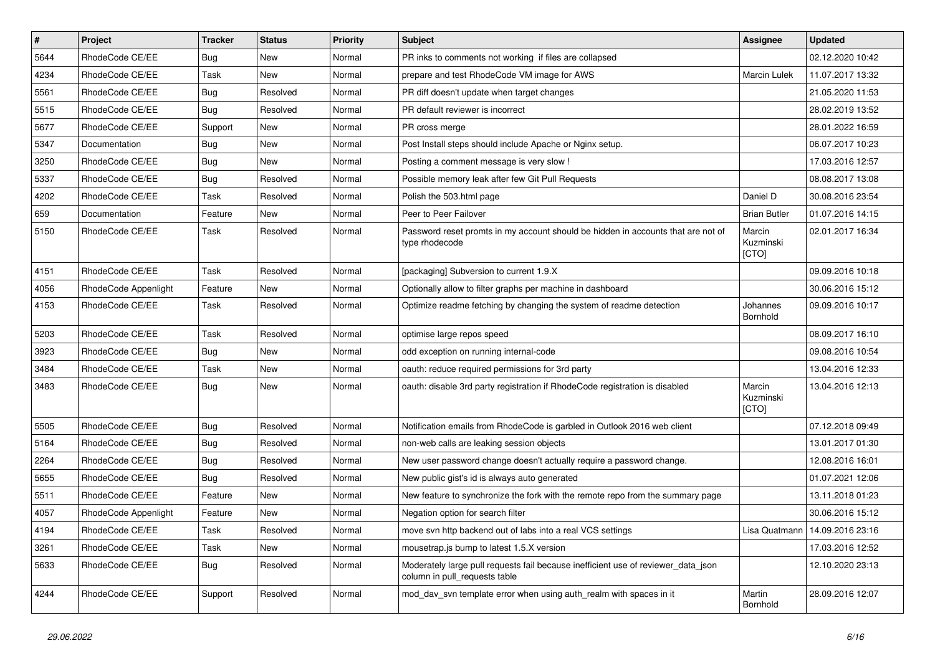| $\pmb{\#}$ | Project              | <b>Tracker</b> | <b>Status</b> | <b>Priority</b> | <b>Subject</b>                                                                                                     | <b>Assignee</b>              | <b>Updated</b>                   |
|------------|----------------------|----------------|---------------|-----------------|--------------------------------------------------------------------------------------------------------------------|------------------------------|----------------------------------|
| 5644       | RhodeCode CE/EE      | Bug            | New           | Normal          | PR inks to comments not working if files are collapsed                                                             |                              | 02.12.2020 10:42                 |
| 4234       | RhodeCode CE/EE      | Task           | <b>New</b>    | Normal          | prepare and test RhodeCode VM image for AWS                                                                        | Marcin Lulek                 | 11.07.2017 13:32                 |
| 5561       | RhodeCode CE/EE      | Bug            | Resolved      | Normal          | PR diff doesn't update when target changes                                                                         |                              | 21.05.2020 11:53                 |
| 5515       | RhodeCode CE/EE      | Bug            | Resolved      | Normal          | PR default reviewer is incorrect                                                                                   |                              | 28.02.2019 13:52                 |
| 5677       | RhodeCode CE/EE      | Support        | <b>New</b>    | Normal          | PR cross merge                                                                                                     |                              | 28.01.2022 16:59                 |
| 5347       | Documentation        | Bug            | New           | Normal          | Post Install steps should include Apache or Nginx setup.                                                           |                              | 06.07.2017 10:23                 |
| 3250       | RhodeCode CE/EE      | <b>Bug</b>     | New           | Normal          | Posting a comment message is very slow !                                                                           |                              | 17.03.2016 12:57                 |
| 5337       | RhodeCode CE/EE      | Bug            | Resolved      | Normal          | Possible memory leak after few Git Pull Requests                                                                   |                              | 08.08.2017 13:08                 |
| 4202       | RhodeCode CE/EE      | Task           | Resolved      | Normal          | Polish the 503.html page                                                                                           | Daniel D                     | 30.08.2016 23:54                 |
| 659        | Documentation        | Feature        | <b>New</b>    | Normal          | Peer to Peer Failover                                                                                              | <b>Brian Butler</b>          | 01.07.2016 14:15                 |
| 5150       | RhodeCode CE/EE      | Task           | Resolved      | Normal          | Password reset promts in my account should be hidden in accounts that are not of<br>type rhodecode                 | Marcin<br>Kuzminski<br>[CTO] | 02.01.2017 16:34                 |
| 4151       | RhodeCode CE/EE      | Task           | Resolved      | Normal          | [packaging] Subversion to current 1.9.X                                                                            |                              | 09.09.2016 10:18                 |
| 4056       | RhodeCode Appenlight | Feature        | New           | Normal          | Optionally allow to filter graphs per machine in dashboard                                                         |                              | 30.06.2016 15:12                 |
| 4153       | RhodeCode CE/EE      | Task           | Resolved      | Normal          | Optimize readme fetching by changing the system of readme detection                                                | Johannes<br>Bornhold         | 09.09.2016 10:17                 |
| 5203       | RhodeCode CE/EE      | Task           | Resolved      | Normal          | optimise large repos speed                                                                                         |                              | 08.09.2017 16:10                 |
| 3923       | RhodeCode CE/EE      | <b>Bug</b>     | New           | Normal          | odd exception on running internal-code                                                                             |                              | 09.08.2016 10:54                 |
| 3484       | RhodeCode CE/EE      | Task           | New           | Normal          | oauth: reduce required permissions for 3rd party                                                                   |                              | 13.04.2016 12:33                 |
| 3483       | RhodeCode CE/EE      | Bug            | <b>New</b>    | Normal          | oauth: disable 3rd party registration if RhodeCode registration is disabled                                        | Marcin<br>Kuzminski<br>[CTO] | 13.04.2016 12:13                 |
| 5505       | RhodeCode CE/EE      | Bug            | Resolved      | Normal          | Notification emails from RhodeCode is garbled in Outlook 2016 web client                                           |                              | 07.12.2018 09:49                 |
| 5164       | RhodeCode CE/EE      | Bug            | Resolved      | Normal          | non-web calls are leaking session objects                                                                          |                              | 13.01.2017 01:30                 |
| 2264       | RhodeCode CE/EE      | Bug            | Resolved      | Normal          | New user password change doesn't actually require a password change.                                               |                              | 12.08.2016 16:01                 |
| 5655       | RhodeCode CE/EE      | <b>Bug</b>     | Resolved      | Normal          | New public gist's id is always auto generated                                                                      |                              | 01.07.2021 12:06                 |
| 5511       | RhodeCode CE/EE      | Feature        | New           | Normal          | New feature to synchronize the fork with the remote repo from the summary page                                     |                              | 13.11.2018 01:23                 |
| 4057       | RhodeCode Appenlight | Feature        | <b>New</b>    | Normal          | Negation option for search filter                                                                                  |                              | 30.06.2016 15:12                 |
| 4194       | RhodeCode CE/EE      | Task           | Resolved      | Normal          | move svn http backend out of labs into a real VCS settings                                                         |                              | Lisa Quatmann   14.09.2016 23:16 |
| 3261       | RhodeCode CE/EE      | Task           | New           | Normal          | mousetrap.is bump to latest 1.5.X version                                                                          |                              | 17.03.2016 12:52                 |
| 5633       | RhodeCode CE/EE      | <b>Bug</b>     | Resolved      | Normal          | Moderately large pull requests fail because inefficient use of reviewer_data_json<br>column in pull requests table |                              | 12.10.2020 23:13                 |
| 4244       | RhodeCode CE/EE      | Support        | Resolved      | Normal          | mod dav svn template error when using auth realm with spaces in it                                                 | Martin<br>Bornhold           | 28.09.2016 12:07                 |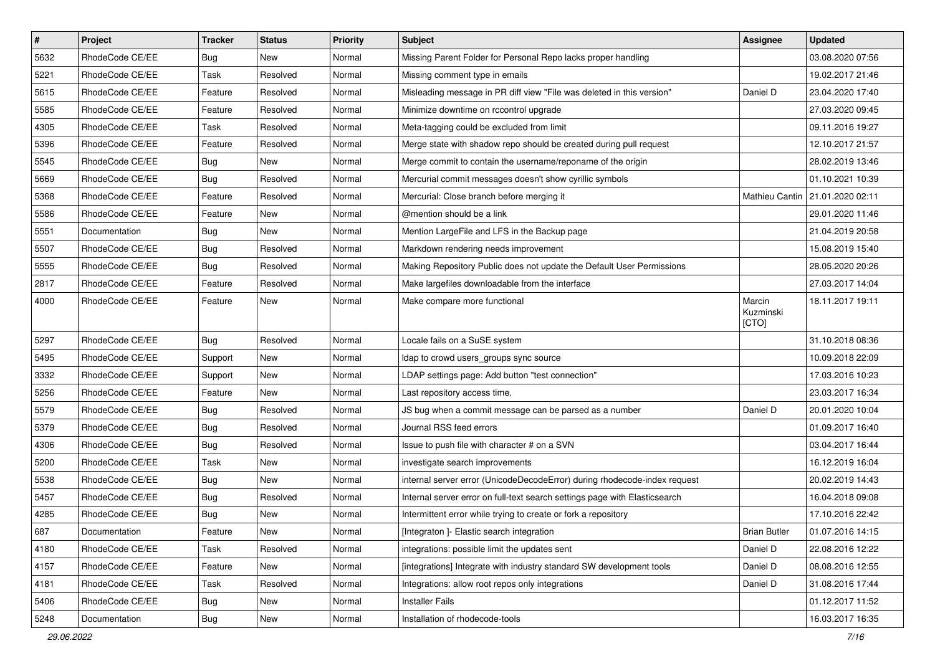| $\pmb{\#}$ | Project         | <b>Tracker</b> | <b>Status</b> | <b>Priority</b> | Subject                                                                    | <b>Assignee</b>              | <b>Updated</b>   |
|------------|-----------------|----------------|---------------|-----------------|----------------------------------------------------------------------------|------------------------------|------------------|
| 5632       | RhodeCode CE/EE | Bug            | New           | Normal          | Missing Parent Folder for Personal Repo lacks proper handling              |                              | 03.08.2020 07:56 |
| 5221       | RhodeCode CE/EE | Task           | Resolved      | Normal          | Missing comment type in emails                                             |                              | 19.02.2017 21:46 |
| 5615       | RhodeCode CE/EE | Feature        | Resolved      | Normal          | Misleading message in PR diff view "File was deleted in this version"      | Daniel D                     | 23.04.2020 17:40 |
| 5585       | RhodeCode CE/EE | Feature        | Resolved      | Normal          | Minimize downtime on rccontrol upgrade                                     |                              | 27.03.2020 09:45 |
| 4305       | RhodeCode CE/EE | Task           | Resolved      | Normal          | Meta-tagging could be excluded from limit                                  |                              | 09.11.2016 19:27 |
| 5396       | RhodeCode CE/EE | Feature        | Resolved      | Normal          | Merge state with shadow repo should be created during pull request         |                              | 12.10.2017 21:57 |
| 5545       | RhodeCode CE/EE | <b>Bug</b>     | New           | Normal          | Merge commit to contain the username/reponame of the origin                |                              | 28.02.2019 13:46 |
| 5669       | RhodeCode CE/EE | Bug            | Resolved      | Normal          | Mercurial commit messages doesn't show cyrillic symbols                    |                              | 01.10.2021 10:39 |
| 5368       | RhodeCode CE/EE | Feature        | Resolved      | Normal          | Mercurial: Close branch before merging it                                  | Mathieu Cantin               | 21.01.2020 02:11 |
| 5586       | RhodeCode CE/EE | Feature        | New           | Normal          | @mention should be a link                                                  |                              | 29.01.2020 11:46 |
| 5551       | Documentation   | Bug            | New           | Normal          | Mention LargeFile and LFS in the Backup page                               |                              | 21.04.2019 20:58 |
| 5507       | RhodeCode CE/EE | <b>Bug</b>     | Resolved      | Normal          | Markdown rendering needs improvement                                       |                              | 15.08.2019 15:40 |
| 5555       | RhodeCode CE/EE | <b>Bug</b>     | Resolved      | Normal          | Making Repository Public does not update the Default User Permissions      |                              | 28.05.2020 20:26 |
| 2817       | RhodeCode CE/EE | Feature        | Resolved      | Normal          | Make largefiles downloadable from the interface                            |                              | 27.03.2017 14:04 |
| 4000       | RhodeCode CE/EE | Feature        | New           | Normal          | Make compare more functional                                               | Marcin<br>Kuzminski<br>[CTO] | 18.11.2017 19:11 |
| 5297       | RhodeCode CE/EE | Bug            | Resolved      | Normal          | Locale fails on a SuSE system                                              |                              | 31.10.2018 08:36 |
| 5495       | RhodeCode CE/EE | Support        | New           | Normal          | Idap to crowd users_groups sync source                                     |                              | 10.09.2018 22:09 |
| 3332       | RhodeCode CE/EE | Support        | New           | Normal          | LDAP settings page: Add button "test connection"                           |                              | 17.03.2016 10:23 |
| 5256       | RhodeCode CE/EE | Feature        | New           | Normal          | Last repository access time.                                               |                              | 23.03.2017 16:34 |
| 5579       | RhodeCode CE/EE | Bug            | Resolved      | Normal          | JS bug when a commit message can be parsed as a number                     | Daniel D                     | 20.01.2020 10:04 |
| 5379       | RhodeCode CE/EE | Bug            | Resolved      | Normal          | Journal RSS feed errors                                                    |                              | 01.09.2017 16:40 |
| 4306       | RhodeCode CE/EE | Bug            | Resolved      | Normal          | Issue to push file with character # on a SVN                               |                              | 03.04.2017 16:44 |
| 5200       | RhodeCode CE/EE | Task           | New           | Normal          | investigate search improvements                                            |                              | 16.12.2019 16:04 |
| 5538       | RhodeCode CE/EE | <b>Bug</b>     | <b>New</b>    | Normal          | internal server error (UnicodeDecodeError) during rhodecode-index request  |                              | 20.02.2019 14:43 |
| 5457       | RhodeCode CE/EE | <b>Bug</b>     | Resolved      | Normal          | Internal server error on full-text search settings page with Elasticsearch |                              | 16.04.2018 09:08 |
| 4285       | RhodeCode CE/EE | Bug            | New           | Normal          | Intermittent error while trying to create or fork a repository             |                              | 17.10.2016 22:42 |
| 687        | Documentation   | Feature        | New           | Normal          | [Integraton ]- Elastic search integration                                  | <b>Brian Butler</b>          | 01.07.2016 14:15 |
| 4180       | RhodeCode CE/EE | Task           | Resolved      | Normal          | integrations: possible limit the updates sent                              | Daniel D                     | 22.08.2016 12:22 |
| 4157       | RhodeCode CE/EE | Feature        | New           | Normal          | [integrations] Integrate with industry standard SW development tools       | Daniel D                     | 08.08.2016 12:55 |
| 4181       | RhodeCode CE/EE | Task           | Resolved      | Normal          | Integrations: allow root repos only integrations                           | Daniel D                     | 31.08.2016 17:44 |
| 5406       | RhodeCode CE/EE | <b>Bug</b>     | New           | Normal          | <b>Installer Fails</b>                                                     |                              | 01.12.2017 11:52 |
| 5248       | Documentation   | <b>Bug</b>     | New           | Normal          | Installation of rhodecode-tools                                            |                              | 16.03.2017 16:35 |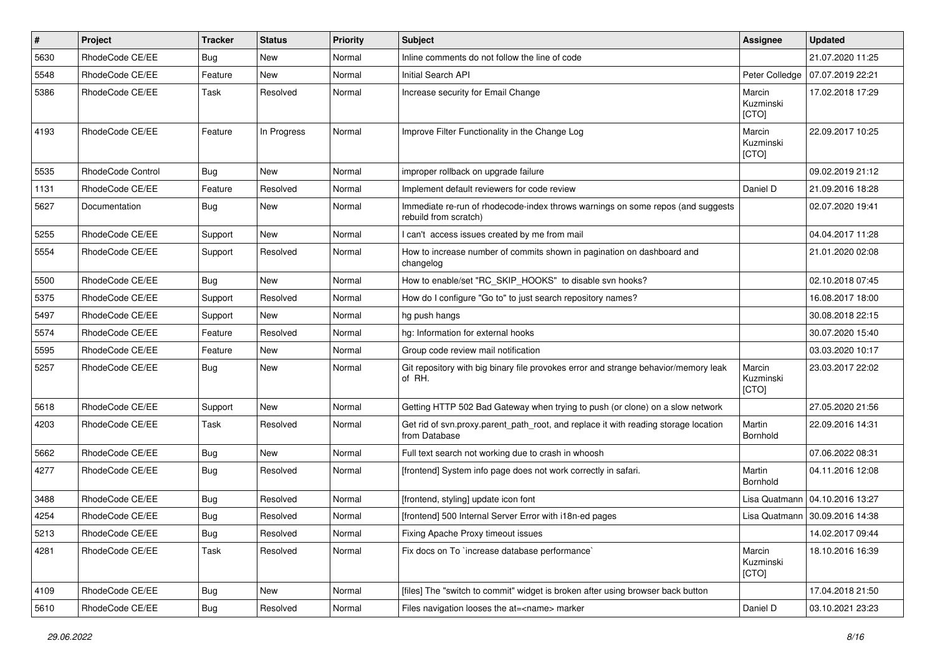| $\vert$ # | Project           | <b>Tracker</b> | <b>Status</b> | <b>Priority</b> | <b>Subject</b>                                                                                           | Assignee                     | <b>Updated</b>                   |
|-----------|-------------------|----------------|---------------|-----------------|----------------------------------------------------------------------------------------------------------|------------------------------|----------------------------------|
| 5630      | RhodeCode CE/EE   | Bug            | <b>New</b>    | Normal          | Inline comments do not follow the line of code                                                           |                              | 21.07.2020 11:25                 |
| 5548      | RhodeCode CE/EE   | Feature        | <b>New</b>    | Normal          | Initial Search API                                                                                       | Peter Colledge               | 07.07.2019 22:21                 |
| 5386      | RhodeCode CE/EE   | <b>Task</b>    | Resolved      | Normal          | Increase security for Email Change                                                                       | Marcin<br>Kuzminski<br>[CTO] | 17.02.2018 17:29                 |
| 4193      | RhodeCode CE/EE   | Feature        | In Progress   | Normal          | Improve Filter Functionality in the Change Log                                                           | Marcin<br>Kuzminski<br>[CTO] | 22.09.2017 10:25                 |
| 5535      | RhodeCode Control | Bug            | <b>New</b>    | Normal          | improper rollback on upgrade failure                                                                     |                              | 09.02.2019 21:12                 |
| 1131      | RhodeCode CE/EE   | Feature        | Resolved      | Normal          | Implement default reviewers for code review                                                              | Daniel D                     | 21.09.2016 18:28                 |
| 5627      | Documentation     | Bug            | New           | Normal          | Immediate re-run of rhodecode-index throws warnings on some repos (and suggests<br>rebuild from scratch) |                              | 02.07.2020 19:41                 |
| 5255      | RhodeCode CE/EE   | Support        | <b>New</b>    | Normal          | I can't access issues created by me from mail                                                            |                              | 04.04.2017 11:28                 |
| 5554      | RhodeCode CE/EE   | Support        | Resolved      | Normal          | How to increase number of commits shown in pagination on dashboard and<br>changelog                      |                              | 21.01.2020 02:08                 |
| 5500      | RhodeCode CE/EE   | Bug            | New           | Normal          | How to enable/set "RC_SKIP_HOOKS" to disable svn hooks?                                                  |                              | 02.10.2018 07:45                 |
| 5375      | RhodeCode CE/EE   | Support        | Resolved      | Normal          | How do I configure "Go to" to just search repository names?                                              |                              | 16.08.2017 18:00                 |
| 5497      | RhodeCode CE/EE   | Support        | <b>New</b>    | Normal          | hg push hangs                                                                                            |                              | 30.08.2018 22:15                 |
| 5574      | RhodeCode CE/EE   | Feature        | Resolved      | Normal          | hg: Information for external hooks                                                                       |                              | 30.07.2020 15:40                 |
| 5595      | RhodeCode CE/EE   | Feature        | New           | Normal          | Group code review mail notification                                                                      |                              | 03.03.2020 10:17                 |
| 5257      | RhodeCode CE/EE   | Bug            | New           | Normal          | Git repository with big binary file provokes error and strange behavior/memory leak<br>of RH.            | Marcin<br>Kuzminski<br>[CTO] | 23.03.2017 22:02                 |
| 5618      | RhodeCode CE/EE   | Support        | New           | Normal          | Getting HTTP 502 Bad Gateway when trying to push (or clone) on a slow network                            |                              | 27.05.2020 21:56                 |
| 4203      | RhodeCode CE/EE   | <b>Task</b>    | Resolved      | Normal          | Get rid of svn.proxy.parent_path_root, and replace it with reading storage location<br>from Database     | Martin<br>Bornhold           | 22.09.2016 14:31                 |
| 5662      | RhodeCode CE/EE   | Bug            | <b>New</b>    | Normal          | Full text search not working due to crash in whoosh                                                      |                              | 07.06.2022 08:31                 |
| 4277      | RhodeCode CE/EE   | Bug            | Resolved      | Normal          | [frontend] System info page does not work correctly in safari.                                           | Martin<br>Bornhold           | 04.11.2016 12:08                 |
| 3488      | RhodeCode CE/EE   | Bug            | Resolved      | Normal          | [frontend, styling] update icon font                                                                     | Lisa Quatmann                | 04.10.2016 13:27                 |
| 4254      | RhodeCode CE/EE   | Bug            | Resolved      | Normal          | [frontend] 500 Internal Server Error with i18n-ed pages                                                  |                              | Lisa Quatmann   30.09.2016 14:38 |
| 5213      | RhodeCode CE/EE   | Bug            | Resolved      | Normal          | Fixing Apache Proxy timeout issues                                                                       |                              | 14.02.2017 09:44                 |
| 4281      | RhodeCode CE/EE   | Task           | Resolved      | Normal          | Fix docs on To `increase database performance`                                                           | Marcin<br>Kuzminski<br>[CTO] | 18.10.2016 16:39                 |
| 4109      | RhodeCode CE/EE   | Bug            | New           | Normal          | [files] The "switch to commit" widget is broken after using browser back button                          |                              | 17.04.2018 21:50                 |
| 5610      | RhodeCode CE/EE   | <b>Bug</b>     | Resolved      | Normal          | Files navigation looses the at= <name> marker</name>                                                     | Daniel D                     | 03.10.2021 23:23                 |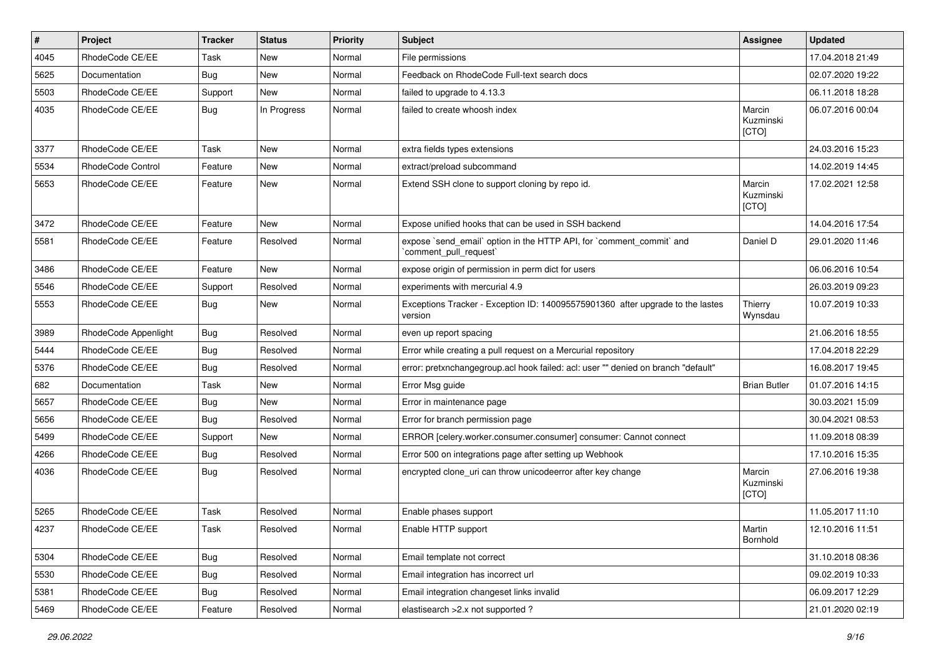| #    | Project              | <b>Tracker</b> | <b>Status</b> | <b>Priority</b> | <b>Subject</b>                                                                                 | <b>Assignee</b>              | <b>Updated</b>   |
|------|----------------------|----------------|---------------|-----------------|------------------------------------------------------------------------------------------------|------------------------------|------------------|
| 4045 | RhodeCode CE/EE      | Task           | New           | Normal          | File permissions                                                                               |                              | 17.04.2018 21:49 |
| 5625 | Documentation        | Bug            | <b>New</b>    | Normal          | Feedback on RhodeCode Full-text search docs                                                    |                              | 02.07.2020 19:22 |
| 5503 | RhodeCode CE/EE      | Support        | New           | Normal          | failed to upgrade to 4.13.3                                                                    |                              | 06.11.2018 18:28 |
| 4035 | RhodeCode CE/EE      | Bug            | In Progress   | Normal          | failed to create whoosh index                                                                  | Marcin<br>Kuzminski<br>[CTO] | 06.07.2016 00:04 |
| 3377 | RhodeCode CE/EE      | Task           | New           | Normal          | extra fields types extensions                                                                  |                              | 24.03.2016 15:23 |
| 5534 | RhodeCode Control    | Feature        | <b>New</b>    | Normal          | extract/preload subcommand                                                                     |                              | 14.02.2019 14:45 |
| 5653 | RhodeCode CE/EE      | Feature        | New           | Normal          | Extend SSH clone to support cloning by repo id.                                                | Marcin<br>Kuzminski<br>[CTO] | 17.02.2021 12:58 |
| 3472 | RhodeCode CE/EE      | Feature        | <b>New</b>    | Normal          | Expose unified hooks that can be used in SSH backend                                           |                              | 14.04.2016 17:54 |
| 5581 | RhodeCode CE/EE      | Feature        | Resolved      | Normal          | expose `send_email` option in the HTTP API, for `comment_commit` and<br>`comment_pull_request` | Daniel D                     | 29.01.2020 11:46 |
| 3486 | RhodeCode CE/EE      | Feature        | <b>New</b>    | Normal          | expose origin of permission in perm dict for users                                             |                              | 06.06.2016 10:54 |
| 5546 | RhodeCode CE/EE      | Support        | Resolved      | Normal          | experiments with mercurial 4.9                                                                 |                              | 26.03.2019 09:23 |
| 5553 | RhodeCode CE/EE      | Bug            | New           | Normal          | Exceptions Tracker - Exception ID: 140095575901360 after upgrade to the lastes<br>version      | Thierry<br>Wynsdau           | 10.07.2019 10:33 |
| 3989 | RhodeCode Appenlight | Bug            | Resolved      | Normal          | even up report spacing                                                                         |                              | 21.06.2016 18:55 |
| 5444 | RhodeCode CE/EE      | Bug            | Resolved      | Normal          | Error while creating a pull request on a Mercurial repository                                  |                              | 17.04.2018 22:29 |
| 5376 | RhodeCode CE/EE      | <b>Bug</b>     | Resolved      | Normal          | error: pretxnchangegroup.acl hook failed: acl: user "" denied on branch "default"              |                              | 16.08.2017 19:45 |
| 682  | Documentation        | Task           | New           | Normal          | Error Msg guide                                                                                | <b>Brian Butler</b>          | 01.07.2016 14:15 |
| 5657 | RhodeCode CE/EE      | Bug            | New           | Normal          | Error in maintenance page                                                                      |                              | 30.03.2021 15:09 |
| 5656 | RhodeCode CE/EE      | Bug            | Resolved      | Normal          | Error for branch permission page                                                               |                              | 30.04.2021 08:53 |
| 5499 | RhodeCode CE/EE      | Support        | New           | Normal          | ERROR [celery.worker.consumer.consumer] consumer: Cannot connect                               |                              | 11.09.2018 08:39 |
| 4266 | RhodeCode CE/EE      | Bug            | Resolved      | Normal          | Error 500 on integrations page after setting up Webhook                                        |                              | 17.10.2016 15:35 |
| 4036 | RhodeCode CE/EE      | Bug            | Resolved      | Normal          | encrypted clone_uri can throw unicodeerror after key change                                    | Marcin<br>Kuzminski<br>[CTO] | 27.06.2016 19:38 |
| 5265 | RhodeCode CE/EE      | Task           | Resolved      | Normal          | Enable phases support                                                                          |                              | 11.05.2017 11:10 |
| 4237 | RhodeCode CE/EE      | Task           | Resolved      | Normal          | Enable HTTP support                                                                            | Martin<br>Bornhold           | 12.10.2016 11:51 |
| 5304 | RhodeCode CE/EE      | <b>Bug</b>     | Resolved      | Normal          | Email template not correct                                                                     |                              | 31.10.2018 08:36 |
| 5530 | RhodeCode CE/EE      | Bug            | Resolved      | Normal          | Email integration has incorrect url                                                            |                              | 09.02.2019 10:33 |
| 5381 | RhodeCode CE/EE      | <b>Bug</b>     | Resolved      | Normal          | Email integration changeset links invalid                                                      |                              | 06.09.2017 12:29 |
| 5469 | RhodeCode CE/EE      | Feature        | Resolved      | Normal          | elastisearch > 2.x not supported ?                                                             |                              | 21.01.2020 02:19 |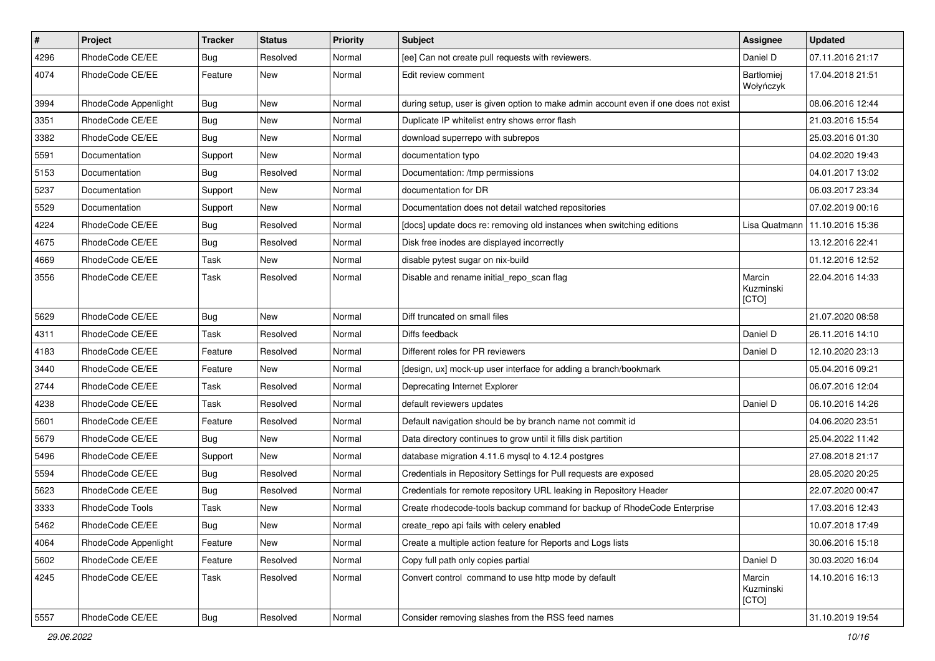| $\pmb{\#}$ | Project              | <b>Tracker</b> | <b>Status</b> | Priority | <b>Subject</b>                                                                      | <b>Assignee</b>                | <b>Updated</b>   |
|------------|----------------------|----------------|---------------|----------|-------------------------------------------------------------------------------------|--------------------------------|------------------|
| 4296       | RhodeCode CE/EE      | Bug            | Resolved      | Normal   | [ee] Can not create pull requests with reviewers.                                   | Daniel D                       | 07.11.2016 21:17 |
| 4074       | RhodeCode CE/EE      | Feature        | New           | Normal   | Edit review comment                                                                 | <b>Bartłomiej</b><br>Wołyńczyk | 17.04.2018 21:51 |
| 3994       | RhodeCode Appenlight | Bug            | <b>New</b>    | Normal   | during setup, user is given option to make admin account even if one does not exist |                                | 08.06.2016 12:44 |
| 3351       | RhodeCode CE/EE      | Bug            | <b>New</b>    | Normal   | Duplicate IP whitelist entry shows error flash                                      |                                | 21.03.2016 15:54 |
| 3382       | RhodeCode CE/EE      | Bug            | New           | Normal   | download superrepo with subrepos                                                    |                                | 25.03.2016 01:30 |
| 5591       | Documentation        | Support        | New           | Normal   | documentation typo                                                                  |                                | 04.02.2020 19:43 |
| 5153       | Documentation        | Bug            | Resolved      | Normal   | Documentation: /tmp permissions                                                     |                                | 04.01.2017 13:02 |
| 5237       | Documentation        | Support        | <b>New</b>    | Normal   | documentation for DR                                                                |                                | 06.03.2017 23:34 |
| 5529       | Documentation        | Support        | New           | Normal   | Documentation does not detail watched repositories                                  |                                | 07.02.2019 00:16 |
| 4224       | RhodeCode CE/EE      | <b>Bug</b>     | Resolved      | Normal   | [docs] update docs re: removing old instances when switching editions               | Lisa Quatmann                  | 11.10.2016 15:36 |
| 4675       | RhodeCode CE/EE      | Bug            | Resolved      | Normal   | Disk free inodes are displayed incorrectly                                          |                                | 13.12.2016 22:41 |
| 4669       | RhodeCode CE/EE      | Task           | <b>New</b>    | Normal   | disable pytest sugar on nix-build                                                   |                                | 01.12.2016 12:52 |
| 3556       | RhodeCode CE/EE      | Task           | Resolved      | Normal   | Disable and rename initial repo scan flag                                           | Marcin<br>Kuzminski<br>[CTO]   | 22.04.2016 14:33 |
| 5629       | RhodeCode CE/EE      | Bug            | New           | Normal   | Diff truncated on small files                                                       |                                | 21.07.2020 08:58 |
| 4311       | RhodeCode CE/EE      | Task           | Resolved      | Normal   | Diffs feedback                                                                      | Daniel D                       | 26.11.2016 14:10 |
| 4183       | RhodeCode CE/EE      | Feature        | Resolved      | Normal   | Different roles for PR reviewers                                                    | Daniel D                       | 12.10.2020 23:13 |
| 3440       | RhodeCode CE/EE      | Feature        | <b>New</b>    | Normal   | [design, ux] mock-up user interface for adding a branch/bookmark                    |                                | 05.04.2016 09:21 |
| 2744       | RhodeCode CE/EE      | <b>Task</b>    | Resolved      | Normal   | Deprecating Internet Explorer                                                       |                                | 06.07.2016 12:04 |
| 4238       | RhodeCode CE/EE      | Task           | Resolved      | Normal   | default reviewers updates                                                           | Daniel D                       | 06.10.2016 14:26 |
| 5601       | RhodeCode CE/EE      | Feature        | Resolved      | Normal   | Default navigation should be by branch name not commit id                           |                                | 04.06.2020 23:51 |
| 5679       | RhodeCode CE/EE      | Bug            | New           | Normal   | Data directory continues to grow until it fills disk partition                      |                                | 25.04.2022 11:42 |
| 5496       | RhodeCode CE/EE      | Support        | <b>New</b>    | Normal   | database migration 4.11.6 mysql to 4.12.4 postgres                                  |                                | 27.08.2018 21:17 |
| 5594       | RhodeCode CE/EE      | Bug            | Resolved      | Normal   | Credentials in Repository Settings for Pull requests are exposed                    |                                | 28.05.2020 20:25 |
| 5623       | RhodeCode CE/EE      | Bug            | Resolved      | Normal   | Credentials for remote repository URL leaking in Repository Header                  |                                | 22.07.2020 00:47 |
| 3333       | RhodeCode Tools      | Task           | New           | Normal   | Create rhodecode-tools backup command for backup of RhodeCode Enterprise            |                                | 17.03.2016 12:43 |
| 5462       | RhodeCode CE/EE      | Bug            | New           | Normal   | create_repo api fails with celery enabled                                           |                                | 10.07.2018 17:49 |
| 4064       | RhodeCode Appenlight | Feature        | New           | Normal   | Create a multiple action feature for Reports and Logs lists                         |                                | 30.06.2016 15:18 |
| 5602       | RhodeCode CE/EE      | Feature        | Resolved      | Normal   | Copy full path only copies partial                                                  | Daniel D                       | 30.03.2020 16:04 |
| 4245       | RhodeCode CE/EE      | Task           | Resolved      | Normal   | Convert control command to use http mode by default                                 | Marcin<br>Kuzminski<br>[CTO]   | 14.10.2016 16:13 |
| 5557       | RhodeCode CE/EE      | <b>Bug</b>     | Resolved      | Normal   | Consider removing slashes from the RSS feed names                                   |                                | 31.10.2019 19:54 |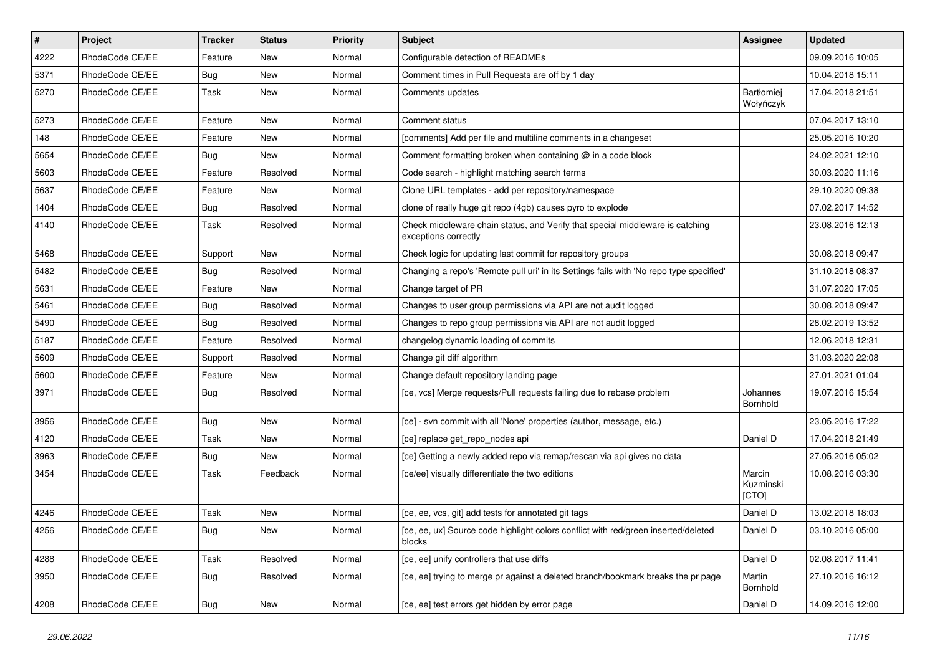| $\pmb{\#}$ | Project         | <b>Tracker</b> | <b>Status</b> | <b>Priority</b> | <b>Subject</b>                                                                                        | <b>Assignee</b>              | <b>Updated</b>   |
|------------|-----------------|----------------|---------------|-----------------|-------------------------------------------------------------------------------------------------------|------------------------------|------------------|
| 4222       | RhodeCode CE/EE | Feature        | New           | Normal          | Configurable detection of READMEs                                                                     |                              | 09.09.2016 10:05 |
| 5371       | RhodeCode CE/EE | Bug            | <b>New</b>    | Normal          | Comment times in Pull Requests are off by 1 day                                                       |                              | 10.04.2018 15:11 |
| 5270       | RhodeCode CE/EE | Task           | New           | Normal          | Comments updates                                                                                      | Bartłomiej<br>Wołyńczyk      | 17.04.2018 21:51 |
| 5273       | RhodeCode CE/EE | Feature        | <b>New</b>    | Normal          | Comment status                                                                                        |                              | 07.04.2017 13:10 |
| 148        | RhodeCode CE/EE | Feature        | New           | Normal          | [comments] Add per file and multiline comments in a changeset                                         |                              | 25.05.2016 10:20 |
| 5654       | RhodeCode CE/EE | Bug            | <b>New</b>    | Normal          | Comment formatting broken when containing $\omega$ in a code block                                    |                              | 24.02.2021 12:10 |
| 5603       | RhodeCode CE/EE | Feature        | Resolved      | Normal          | Code search - highlight matching search terms                                                         |                              | 30.03.2020 11:16 |
| 5637       | RhodeCode CE/EE | Feature        | New           | Normal          | Clone URL templates - add per repository/namespace                                                    |                              | 29.10.2020 09:38 |
| 1404       | RhodeCode CE/EE | <b>Bug</b>     | Resolved      | Normal          | clone of really huge git repo (4gb) causes pyro to explode                                            |                              | 07.02.2017 14:52 |
| 4140       | RhodeCode CE/EE | Task           | Resolved      | Normal          | Check middleware chain status, and Verify that special middleware is catching<br>exceptions correctly |                              | 23.08.2016 12:13 |
| 5468       | RhodeCode CE/EE | Support        | <b>New</b>    | Normal          | Check logic for updating last commit for repository groups                                            |                              | 30.08.2018 09:47 |
| 5482       | RhodeCode CE/EE | Bug            | Resolved      | Normal          | Changing a repo's 'Remote pull uri' in its Settings fails with 'No repo type specified'               |                              | 31.10.2018 08:37 |
| 5631       | RhodeCode CE/EE | Feature        | <b>New</b>    | Normal          | Change target of PR                                                                                   |                              | 31.07.2020 17:05 |
| 5461       | RhodeCode CE/EE | Bug            | Resolved      | Normal          | Changes to user group permissions via API are not audit logged                                        |                              | 30.08.2018 09:47 |
| 5490       | RhodeCode CE/EE | Bug            | Resolved      | Normal          | Changes to repo group permissions via API are not audit logged                                        |                              | 28.02.2019 13:52 |
| 5187       | RhodeCode CE/EE | Feature        | Resolved      | Normal          | changelog dynamic loading of commits                                                                  |                              | 12.06.2018 12:31 |
| 5609       | RhodeCode CE/EE | Support        | Resolved      | Normal          | Change git diff algorithm                                                                             |                              | 31.03.2020 22:08 |
| 5600       | RhodeCode CE/EE | Feature        | New           | Normal          | Change default repository landing page                                                                |                              | 27.01.2021 01:04 |
| 3971       | RhodeCode CE/EE | Bug            | Resolved      | Normal          | [ce, vcs] Merge requests/Pull requests failing due to rebase problem                                  | Johannes<br>Bornhold         | 19.07.2016 15:54 |
| 3956       | RhodeCode CE/EE | Bug            | <b>New</b>    | Normal          | [ce] - svn commit with all 'None' properties (author, message, etc.)                                  |                              | 23.05.2016 17:22 |
| 4120       | RhodeCode CE/EE | Task           | New           | Normal          | [ce] replace get repo nodes api                                                                       | Daniel D                     | 17.04.2018 21:49 |
| 3963       | RhodeCode CE/EE | Bug            | New           | Normal          | [ce] Getting a newly added repo via remap/rescan via api gives no data                                |                              | 27.05.2016 05:02 |
| 3454       | RhodeCode CE/EE | Task           | Feedback      | Normal          | [ce/ee] visually differentiate the two editions                                                       | Marcin<br>Kuzminski<br>[CTO] | 10.08.2016 03:30 |
| 4246       | RhodeCode CE/EE | <b>Task</b>    | <b>New</b>    | Normal          | [ce, ee, vcs, git] add tests for annotated git tags                                                   | Daniel D                     | 13.02.2018 18:03 |
| 4256       | RhodeCode CE/EE | Bug            | New           | Normal          | [ce, ee, ux] Source code highlight colors conflict with red/green inserted/deleted<br>blocks          | Daniel D                     | 03.10.2016 05:00 |
| 4288       | RhodeCode CE/EE | Task           | Resolved      | Normal          | [ce, ee] unify controllers that use diffs                                                             | Daniel D                     | 02.08.2017 11:41 |
| 3950       | RhodeCode CE/EE | Bug            | Resolved      | Normal          | [ce, ee] trying to merge pr against a deleted branch/bookmark breaks the pr page                      | Martin<br>Bornhold           | 27.10.2016 16:12 |
| 4208       | RhodeCode CE/EE | <b>Bug</b>     | New           | Normal          | [ce, ee] test errors get hidden by error page                                                         | Daniel D                     | 14.09.2016 12:00 |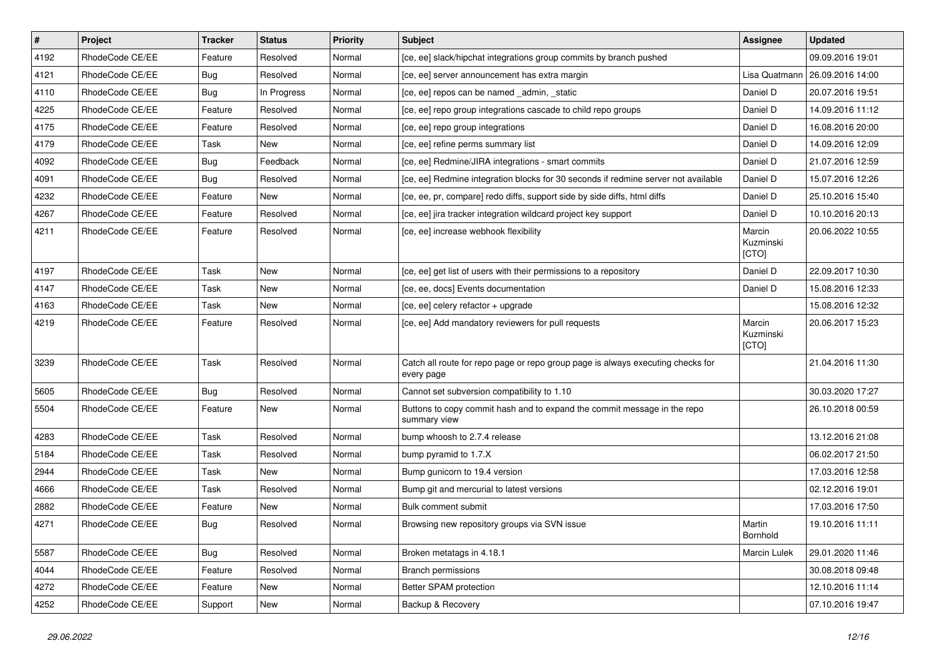| $\vert$ # | Project         | <b>Tracker</b> | <b>Status</b> | <b>Priority</b> | <b>Subject</b>                                                                                | <b>Assignee</b>              | <b>Updated</b>   |
|-----------|-----------------|----------------|---------------|-----------------|-----------------------------------------------------------------------------------------------|------------------------------|------------------|
| 4192      | RhodeCode CE/EE | Feature        | Resolved      | Normal          | [ce, ee] slack/hipchat integrations group commits by branch pushed                            |                              | 09.09.2016 19:01 |
| 4121      | RhodeCode CE/EE | Bug            | Resolved      | Normal          | [ce, ee] server announcement has extra margin                                                 | Lisa Quatmann                | 26.09.2016 14:00 |
| 4110      | RhodeCode CE/EE | Bug            | In Progress   | Normal          | [ce, ee] repos can be named admin, static                                                     | Daniel D                     | 20.07.2016 19:51 |
| 4225      | RhodeCode CE/EE | Feature        | Resolved      | Normal          | [ce, ee] repo group integrations cascade to child repo groups                                 | Daniel D                     | 14.09.2016 11:12 |
| 4175      | RhodeCode CE/EE | Feature        | Resolved      | Normal          | [ce, ee] repo group integrations                                                              | Daniel D                     | 16.08.2016 20:00 |
| 4179      | RhodeCode CE/EE | Task           | New           | Normal          | [ce, ee] refine perms summary list                                                            | Daniel D                     | 14.09.2016 12:09 |
| 4092      | RhodeCode CE/EE | Bug            | Feedback      | Normal          | [ce, ee] Redmine/JIRA integrations - smart commits                                            | Daniel D                     | 21.07.2016 12:59 |
| 4091      | RhodeCode CE/EE | Bug            | Resolved      | Normal          | [ce, ee] Redmine integration blocks for 30 seconds if redmine server not available            | Daniel D                     | 15.07.2016 12:26 |
| 4232      | RhodeCode CE/EE | Feature        | New           | Normal          | [ce, ee, pr, compare] redo diffs, support side by side diffs, html diffs                      | Daniel D                     | 25.10.2016 15:40 |
| 4267      | RhodeCode CE/EE | Feature        | Resolved      | Normal          | [ce, ee] jira tracker integration wildcard project key support                                | Daniel D                     | 10.10.2016 20:13 |
| 4211      | RhodeCode CE/EE | Feature        | Resolved      | Normal          | [ce, ee] increase webhook flexibility                                                         | Marcin<br>Kuzminski<br>[CTO] | 20.06.2022 10:55 |
| 4197      | RhodeCode CE/EE | Task           | New           | Normal          | [ce, ee] get list of users with their permissions to a repository                             | Daniel D                     | 22.09.2017 10:30 |
| 4147      | RhodeCode CE/EE | Task           | New           | Normal          | [ce, ee, docs] Events documentation                                                           | Daniel D                     | 15.08.2016 12:33 |
| 4163      | RhodeCode CE/EE | Task           | New           | Normal          | [ce, ee] celery refactor + upgrade                                                            |                              | 15.08.2016 12:32 |
| 4219      | RhodeCode CE/EE | Feature        | Resolved      | Normal          | [ce, ee] Add mandatory reviewers for pull requests                                            | Marcin<br>Kuzminski<br>[CTO] | 20.06.2017 15:23 |
| 3239      | RhodeCode CE/EE | Task           | Resolved      | Normal          | Catch all route for repo page or repo group page is always executing checks for<br>every page |                              | 21.04.2016 11:30 |
| 5605      | RhodeCode CE/EE | Bug            | Resolved      | Normal          | Cannot set subversion compatibility to 1.10                                                   |                              | 30.03.2020 17:27 |
| 5504      | RhodeCode CE/EE | Feature        | New           | Normal          | Buttons to copy commit hash and to expand the commit message in the repo<br>summary view      |                              | 26.10.2018 00:59 |
| 4283      | RhodeCode CE/EE | Task           | Resolved      | Normal          | bump whoosh to 2.7.4 release                                                                  |                              | 13.12.2016 21:08 |
| 5184      | RhodeCode CE/EE | Task           | Resolved      | Normal          | bump pyramid to 1.7.X                                                                         |                              | 06.02.2017 21:50 |
| 2944      | RhodeCode CE/EE | Task           | New           | Normal          | Bump gunicorn to 19.4 version                                                                 |                              | 17.03.2016 12:58 |
| 4666      | RhodeCode CE/EE | Task           | Resolved      | Normal          | Bump git and mercurial to latest versions                                                     |                              | 02.12.2016 19:01 |
| 2882      | RhodeCode CE/EE | Feature        | New           | Normal          | Bulk comment submit                                                                           |                              | 17.03.2016 17:50 |
| 4271      | RhodeCode CE/EE | Bug            | Resolved      | Normal          | Browsing new repository groups via SVN issue                                                  | Martin<br>Bornhold           | 19.10.2016 11:11 |
| 5587      | RhodeCode CE/EE | <b>Bug</b>     | Resolved      | Normal          | Broken metatags in 4.18.1                                                                     | Marcin Lulek                 | 29.01.2020 11:46 |
| 4044      | RhodeCode CE/EE | Feature        | Resolved      | Normal          | Branch permissions                                                                            |                              | 30.08.2018 09:48 |
| 4272      | RhodeCode CE/EE | Feature        | <b>New</b>    | Normal          | Better SPAM protection                                                                        |                              | 12.10.2016 11:14 |
| 4252      | RhodeCode CE/EE | Support        | New           | Normal          | Backup & Recovery                                                                             |                              | 07.10.2016 19:47 |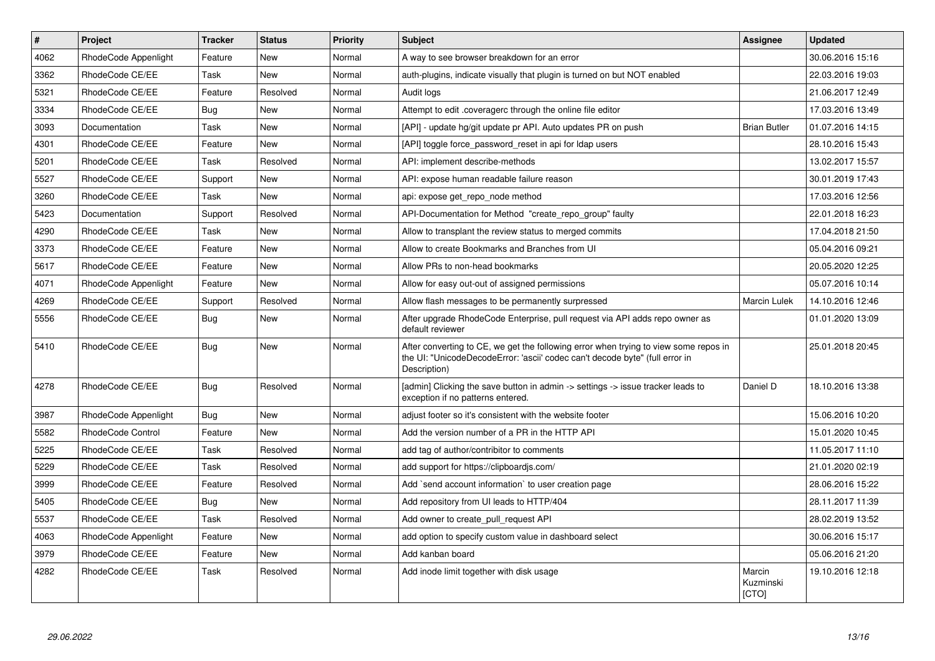| $\vert$ # | <b>Project</b>       | <b>Tracker</b> | <b>Status</b> | Priority | <b>Subject</b>                                                                                                                                                                       | <b>Assignee</b>              | <b>Updated</b>   |
|-----------|----------------------|----------------|---------------|----------|--------------------------------------------------------------------------------------------------------------------------------------------------------------------------------------|------------------------------|------------------|
| 4062      | RhodeCode Appenlight | Feature        | <b>New</b>    | Normal   | A way to see browser breakdown for an error                                                                                                                                          |                              | 30.06.2016 15:16 |
| 3362      | RhodeCode CE/EE      | Task           | <b>New</b>    | Normal   | auth-plugins, indicate visually that plugin is turned on but NOT enabled                                                                                                             |                              | 22.03.2016 19:03 |
| 5321      | RhodeCode CE/EE      | Feature        | Resolved      | Normal   | Audit logs                                                                                                                                                                           |                              | 21.06.2017 12:49 |
| 3334      | RhodeCode CE/EE      | <b>Bug</b>     | <b>New</b>    | Normal   | Attempt to edit .coveragerc through the online file editor                                                                                                                           |                              | 17.03.2016 13:49 |
| 3093      | Documentation        | Task           | <b>New</b>    | Normal   | [API] - update hg/git update pr API. Auto updates PR on push                                                                                                                         | <b>Brian Butler</b>          | 01.07.2016 14:15 |
| 4301      | RhodeCode CE/EE      | Feature        | <b>New</b>    | Normal   | [API] toggle force password reset in api for Idap users                                                                                                                              |                              | 28.10.2016 15:43 |
| 5201      | RhodeCode CE/EE      | Task           | Resolved      | Normal   | API: implement describe-methods                                                                                                                                                      |                              | 13.02.2017 15:57 |
| 5527      | RhodeCode CE/EE      | Support        | <b>New</b>    | Normal   | API: expose human readable failure reason                                                                                                                                            |                              | 30.01.2019 17:43 |
| 3260      | RhodeCode CE/EE      | Task           | <b>New</b>    | Normal   | api: expose get_repo_node method                                                                                                                                                     |                              | 17.03.2016 12:56 |
| 5423      | Documentation        | Support        | Resolved      | Normal   | API-Documentation for Method "create repo group" faulty                                                                                                                              |                              | 22.01.2018 16:23 |
| 4290      | RhodeCode CE/EE      | Task           | <b>New</b>    | Normal   | Allow to transplant the review status to merged commits                                                                                                                              |                              | 17.04.2018 21:50 |
| 3373      | RhodeCode CE/EE      | Feature        | <b>New</b>    | Normal   | Allow to create Bookmarks and Branches from UI                                                                                                                                       |                              | 05.04.2016 09:21 |
| 5617      | RhodeCode CE/EE      | Feature        | <b>New</b>    | Normal   | Allow PRs to non-head bookmarks                                                                                                                                                      |                              | 20.05.2020 12:25 |
| 4071      | RhodeCode Appenlight | Feature        | <b>New</b>    | Normal   | Allow for easy out-out of assigned permissions                                                                                                                                       |                              | 05.07.2016 10:14 |
| 4269      | RhodeCode CE/EE      | Support        | Resolved      | Normal   | Allow flash messages to be permanently surpressed                                                                                                                                    | <b>Marcin Lulek</b>          | 14.10.2016 12:46 |
| 5556      | RhodeCode CE/EE      | Bug            | <b>New</b>    | Normal   | After upgrade RhodeCode Enterprise, pull request via API adds repo owner as<br>default reviewer                                                                                      |                              | 01.01.2020 13:09 |
| 5410      | RhodeCode CE/EE      | Bug            | <b>New</b>    | Normal   | After converting to CE, we get the following error when trying to view some repos in<br>the UI: "UnicodeDecodeError: 'ascii' codec can't decode byte" (full error in<br>Description) |                              | 25.01.2018 20:45 |
| 4278      | RhodeCode CE/EE      | Bug            | Resolved      | Normal   | [admin] Clicking the save button in admin -> settings -> issue tracker leads to<br>exception if no patterns entered.                                                                 | Daniel D                     | 18.10.2016 13:38 |
| 3987      | RhodeCode Appenlight | Bug            | <b>New</b>    | Normal   | adjust footer so it's consistent with the website footer                                                                                                                             |                              | 15.06.2016 10:20 |
| 5582      | RhodeCode Control    | Feature        | <b>New</b>    | Normal   | Add the version number of a PR in the HTTP API                                                                                                                                       |                              | 15.01.2020 10:45 |
| 5225      | RhodeCode CE/EE      | Task           | Resolved      | Normal   | add tag of author/contribitor to comments                                                                                                                                            |                              | 11.05.2017 11:10 |
| 5229      | RhodeCode CE/EE      | Task           | Resolved      | Normal   | add support for https://clipboardjs.com/                                                                                                                                             |                              | 21.01.2020 02:19 |
| 3999      | RhodeCode CE/EE      | Feature        | Resolved      | Normal   | Add `send account information` to user creation page                                                                                                                                 |                              | 28.06.2016 15:22 |
| 5405      | RhodeCode CE/EE      | <b>Bug</b>     | <b>New</b>    | Normal   | Add repository from UI leads to HTTP/404                                                                                                                                             |                              | 28.11.2017 11:39 |
| 5537      | RhodeCode CE/EE      | Task           | Resolved      | Normal   | Add owner to create pull request API                                                                                                                                                 |                              | 28.02.2019 13:52 |
| 4063      | RhodeCode Appenlight | Feature        | <b>New</b>    | Normal   | add option to specify custom value in dashboard select                                                                                                                               |                              | 30.06.2016 15:17 |
| 3979      | RhodeCode CE/EE      | Feature        | <b>New</b>    | Normal   | Add kanban board                                                                                                                                                                     |                              | 05.06.2016 21:20 |
| 4282      | RhodeCode CE/EE      | Task           | Resolved      | Normal   | Add inode limit together with disk usage                                                                                                                                             | Marcin<br>Kuzminski<br>[CTO] | 19.10.2016 12:18 |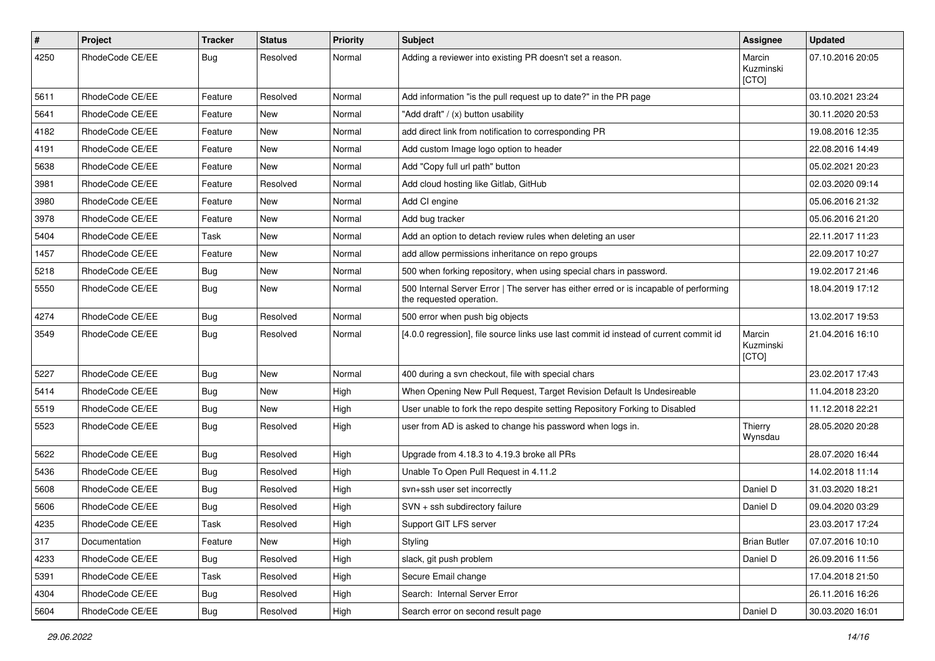| $\pmb{\#}$ | Project         | <b>Tracker</b> | <b>Status</b> | <b>Priority</b> | <b>Subject</b>                                                                                                    | Assignee                     | <b>Updated</b>   |
|------------|-----------------|----------------|---------------|-----------------|-------------------------------------------------------------------------------------------------------------------|------------------------------|------------------|
| 4250       | RhodeCode CE/EE | Bug            | Resolved      | Normal          | Adding a reviewer into existing PR doesn't set a reason.                                                          | Marcin<br>Kuzminski<br>[CTO] | 07.10.2016 20:05 |
| 5611       | RhodeCode CE/EE | Feature        | Resolved      | Normal          | Add information "is the pull request up to date?" in the PR page                                                  |                              | 03.10.2021 23:24 |
| 5641       | RhodeCode CE/EE | Feature        | <b>New</b>    | Normal          | "Add draft" / (x) button usability                                                                                |                              | 30.11.2020 20:53 |
| 4182       | RhodeCode CE/EE | Feature        | New           | Normal          | add direct link from notification to corresponding PR                                                             |                              | 19.08.2016 12:35 |
| 4191       | RhodeCode CE/EE | Feature        | <b>New</b>    | Normal          | Add custom Image logo option to header                                                                            |                              | 22.08.2016 14:49 |
| 5638       | RhodeCode CE/EE | Feature        | New           | Normal          | Add "Copy full url path" button                                                                                   |                              | 05.02.2021 20:23 |
| 3981       | RhodeCode CE/EE | Feature        | Resolved      | Normal          | Add cloud hosting like Gitlab, GitHub                                                                             |                              | 02.03.2020 09:14 |
| 3980       | RhodeCode CE/EE | Feature        | <b>New</b>    | Normal          | Add CI engine                                                                                                     |                              | 05.06.2016 21:32 |
| 3978       | RhodeCode CE/EE | Feature        | New           | Normal          | Add bug tracker                                                                                                   |                              | 05.06.2016 21:20 |
| 5404       | RhodeCode CE/EE | Task           | New           | Normal          | Add an option to detach review rules when deleting an user                                                        |                              | 22.11.2017 11:23 |
| 1457       | RhodeCode CE/EE | Feature        | New           | Normal          | add allow permissions inheritance on repo groups                                                                  |                              | 22.09.2017 10:27 |
| 5218       | RhodeCode CE/EE | <b>Bug</b>     | New           | Normal          | 500 when forking repository, when using special chars in password.                                                |                              | 19.02.2017 21:46 |
| 5550       | RhodeCode CE/EE | <b>Bug</b>     | New           | Normal          | 500 Internal Server Error   The server has either erred or is incapable of performing<br>the requested operation. |                              | 18.04.2019 17:12 |
| 4274       | RhodeCode CE/EE | <b>Bug</b>     | Resolved      | Normal          | 500 error when push big objects                                                                                   |                              | 13.02.2017 19:53 |
| 3549       | RhodeCode CE/EE | Bug            | Resolved      | Normal          | [4.0.0 regression], file source links use last commit id instead of current commit id                             | Marcin<br>Kuzminski<br>[CTO] | 21.04.2016 16:10 |
| 5227       | RhodeCode CE/EE | Bug            | <b>New</b>    | Normal          | 400 during a svn checkout, file with special chars                                                                |                              | 23.02.2017 17:43 |
| 5414       | RhodeCode CE/EE | <b>Bug</b>     | New           | High            | When Opening New Pull Request, Target Revision Default Is Undesireable                                            |                              | 11.04.2018 23:20 |
| 5519       | RhodeCode CE/EE | Bug            | New           | High            | User unable to fork the repo despite setting Repository Forking to Disabled                                       |                              | 11.12.2018 22:21 |
| 5523       | RhodeCode CE/EE | <b>Bug</b>     | Resolved      | High            | user from AD is asked to change his password when logs in.                                                        | Thierry<br>Wynsdau           | 28.05.2020 20:28 |
| 5622       | RhodeCode CE/EE | Bug            | Resolved      | High            | Upgrade from 4.18.3 to 4.19.3 broke all PRs                                                                       |                              | 28.07.2020 16:44 |
| 5436       | RhodeCode CE/EE | <b>Bug</b>     | Resolved      | High            | Unable To Open Pull Request in 4.11.2                                                                             |                              | 14.02.2018 11:14 |
| 5608       | RhodeCode CE/EE | Bug            | Resolved      | High            | svn+ssh user set incorrectly                                                                                      | Daniel D                     | 31.03.2020 18:21 |
| 5606       | RhodeCode CE/EE | <b>Bug</b>     | Resolved      | High            | SVN + ssh subdirectory failure                                                                                    | Daniel D                     | 09.04.2020 03:29 |
| 4235       | RhodeCode CE/EE | Task           | Resolved      | High            | Support GIT LFS server                                                                                            |                              | 23.03.2017 17:24 |
| 317        | Documentation   | Feature        | New           | High            | Styling                                                                                                           | <b>Brian Butler</b>          | 07.07.2016 10:10 |
| 4233       | RhodeCode CE/EE | <b>Bug</b>     | Resolved      | High            | slack, git push problem                                                                                           | Daniel D                     | 26.09.2016 11:56 |
| 5391       | RhodeCode CE/EE | Task           | Resolved      | High            | Secure Email change                                                                                               |                              | 17.04.2018 21:50 |
| 4304       | RhodeCode CE/EE | <b>Bug</b>     | Resolved      | High            | Search: Internal Server Error                                                                                     |                              | 26.11.2016 16:26 |
| 5604       | RhodeCode CE/EE | <b>Bug</b>     | Resolved      | High            | Search error on second result page                                                                                | Daniel D                     | 30.03.2020 16:01 |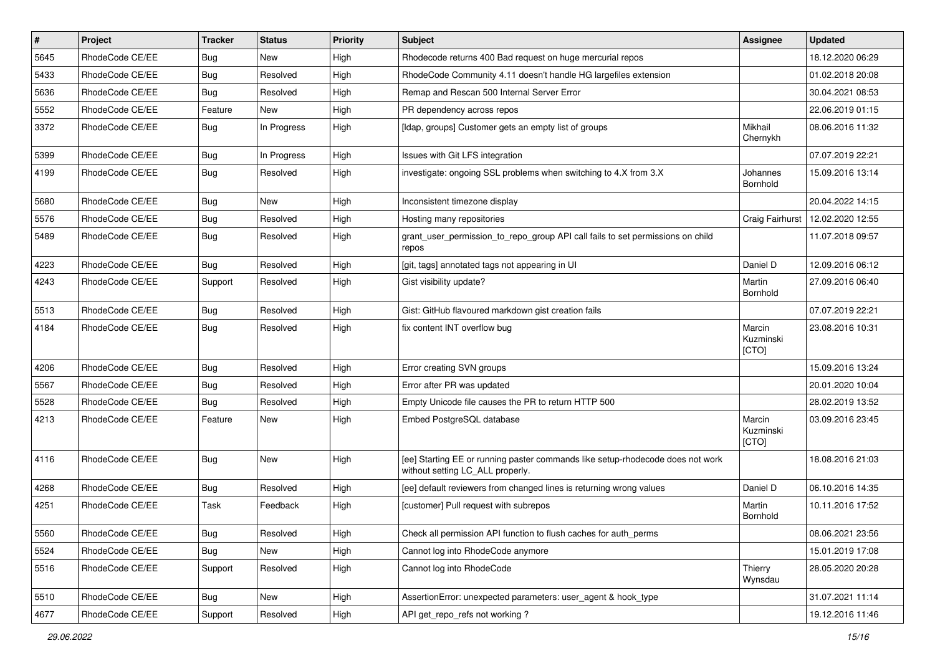| $\vert$ # | Project         | Tracker    | <b>Status</b> | <b>Priority</b> | <b>Subject</b>                                                                                                     | <b>Assignee</b>              | <b>Updated</b>   |
|-----------|-----------------|------------|---------------|-----------------|--------------------------------------------------------------------------------------------------------------------|------------------------------|------------------|
| 5645      | RhodeCode CE/EE | Bug        | New           | High            | Rhodecode returns 400 Bad request on huge mercurial repos                                                          |                              | 18.12.2020 06:29 |
| 5433      | RhodeCode CE/EE | Bug        | Resolved      | High            | RhodeCode Community 4.11 doesn't handle HG largefiles extension                                                    |                              | 01.02.2018 20:08 |
| 5636      | RhodeCode CE/EE | Bug        | Resolved      | High            | Remap and Rescan 500 Internal Server Error                                                                         |                              | 30.04.2021 08:53 |
| 5552      | RhodeCode CE/EE | Feature    | <b>New</b>    | High            | PR dependency across repos                                                                                         |                              | 22.06.2019 01:15 |
| 3372      | RhodeCode CE/EE | Bug        | In Progress   | High            | [Idap, groups] Customer gets an empty list of groups                                                               | Mikhail<br>Chernykh          | 08.06.2016 11:32 |
| 5399      | RhodeCode CE/EE | Bug        | In Progress   | High            | Issues with Git LFS integration                                                                                    |                              | 07.07.2019 22:21 |
| 4199      | RhodeCode CE/EE | Bug        | Resolved      | High            | investigate: ongoing SSL problems when switching to 4.X from 3.X                                                   | Johannes<br>Bornhold         | 15.09.2016 13:14 |
| 5680      | RhodeCode CE/EE | Bug        | <b>New</b>    | High            | Inconsistent timezone display                                                                                      |                              | 20.04.2022 14:15 |
| 5576      | RhodeCode CE/EE | <b>Bug</b> | Resolved      | High            | Hosting many repositories                                                                                          | Craig Fairhurst              | 12.02.2020 12:55 |
| 5489      | RhodeCode CE/EE | Bug        | Resolved      | High            | grant_user_permission_to_repo_group API call fails to set permissions on child<br>repos                            |                              | 11.07.2018 09:57 |
| 4223      | RhodeCode CE/EE | <b>Bug</b> | Resolved      | High            | [git, tags] annotated tags not appearing in UI                                                                     | Daniel D                     | 12.09.2016 06:12 |
| 4243      | RhodeCode CE/EE | Support    | Resolved      | High            | Gist visibility update?                                                                                            | Martin<br>Bornhold           | 27.09.2016 06:40 |
| 5513      | RhodeCode CE/EE | Bug        | Resolved      | High            | Gist: GitHub flavoured markdown gist creation fails                                                                |                              | 07.07.2019 22:21 |
| 4184      | RhodeCode CE/EE | Bug        | Resolved      | High            | fix content INT overflow bug                                                                                       | Marcin<br>Kuzminski<br>[CTO] | 23.08.2016 10:31 |
| 4206      | RhodeCode CE/EE | Bug        | Resolved      | High            | Error creating SVN groups                                                                                          |                              | 15.09.2016 13:24 |
| 5567      | RhodeCode CE/EE | <b>Bug</b> | Resolved      | High            | Error after PR was updated                                                                                         |                              | 20.01.2020 10:04 |
| 5528      | RhodeCode CE/EE | <b>Bug</b> | Resolved      | High            | Empty Unicode file causes the PR to return HTTP 500                                                                |                              | 28.02.2019 13:52 |
| 4213      | RhodeCode CE/EE | Feature    | <b>New</b>    | High            | Embed PostgreSQL database                                                                                          | Marcin<br>Kuzminski<br>[CTO] | 03.09.2016 23:45 |
| 4116      | RhodeCode CE/EE | Bug        | <b>New</b>    | High            | [ee] Starting EE or running paster commands like setup-rhodecode does not work<br>without setting LC ALL properly. |                              | 18.08.2016 21:03 |
| 4268      | RhodeCode CE/EE | <b>Bug</b> | Resolved      | High            | [ee] default reviewers from changed lines is returning wrong values                                                | Daniel D                     | 06.10.2016 14:35 |
| 4251      | RhodeCode CE/EE | Task       | Feedback      | High            | [customer] Pull request with subrepos                                                                              | Martin<br>Bornhold           | 10.11.2016 17:52 |
| 5560      | RhodeCode CE/EE | Bug        | Resolved      | High            | Check all permission API function to flush caches for auth perms                                                   |                              | 08.06.2021 23:56 |
| 5524      | RhodeCode CE/EE | Bug        | New           | High            | Cannot log into RhodeCode anymore                                                                                  |                              | 15.01.2019 17:08 |
| 5516      | RhodeCode CE/EE | Support    | Resolved      | High            | Cannot log into RhodeCode                                                                                          | Thierry<br>Wynsdau           | 28.05.2020 20:28 |
| 5510      | RhodeCode CE/EE | Bug        | New           | High            | AssertionError: unexpected parameters: user_agent & hook_type                                                      |                              | 31.07.2021 11:14 |
| 4677      | RhodeCode CE/EE | Support    | Resolved      | High            | API get_repo_refs not working?                                                                                     |                              | 19.12.2016 11:46 |